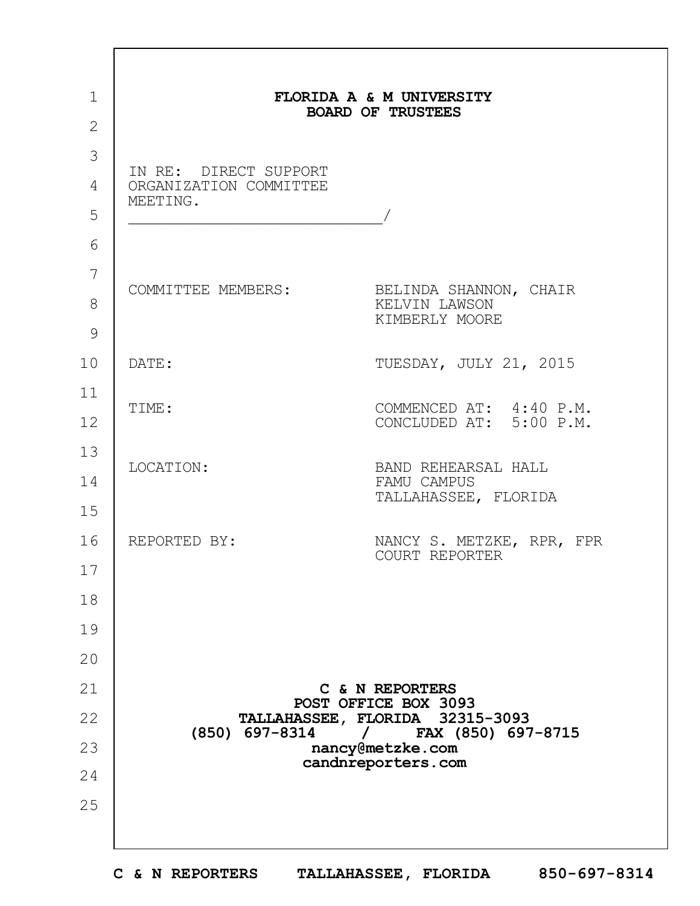| FLORIDA A & M UNIVERSITY<br><b>BOARD OF TRUSTEES</b>        |                                                                            |  |
|-------------------------------------------------------------|----------------------------------------------------------------------------|--|
|                                                             |                                                                            |  |
| IN RE: DIRECT SUPPORT<br>ORGANIZATION COMMITTEE<br>MEETING. |                                                                            |  |
| COMMITTEE MEMBERS:                                          | BELINDA SHANNON, CHAIR<br>KELVIN LAWSON<br>KIMBERLY MOORE                  |  |
| DATE:                                                       | TUESDAY, JULY 21, 2015                                                     |  |
| TIME:                                                       | COMMENCED AT: 4:40 P.M.<br>CONCLUDED AT: 5:00 P.M.                         |  |
| LOCATION:                                                   | BAND REHEARSAL HALL<br>FAMU CAMPUS<br>TALLAHASSEE, FLORIDA                 |  |
| REPORTED BY:                                                | NANCY S. METZKE, RPR, FPR<br>COURT REPORTER                                |  |
|                                                             |                                                                            |  |
|                                                             |                                                                            |  |
|                                                             |                                                                            |  |
|                                                             | C & N REPORTERS<br>POST OFFICE BOX 3093<br>TALLAHASSEE, FLORIDA 32315-3093 |  |
| (850) 697-8314                                              | / FAX (850) 697-8715<br>nancy@metzke.com                                   |  |
|                                                             | candnreporters.com                                                         |  |
|                                                             |                                                                            |  |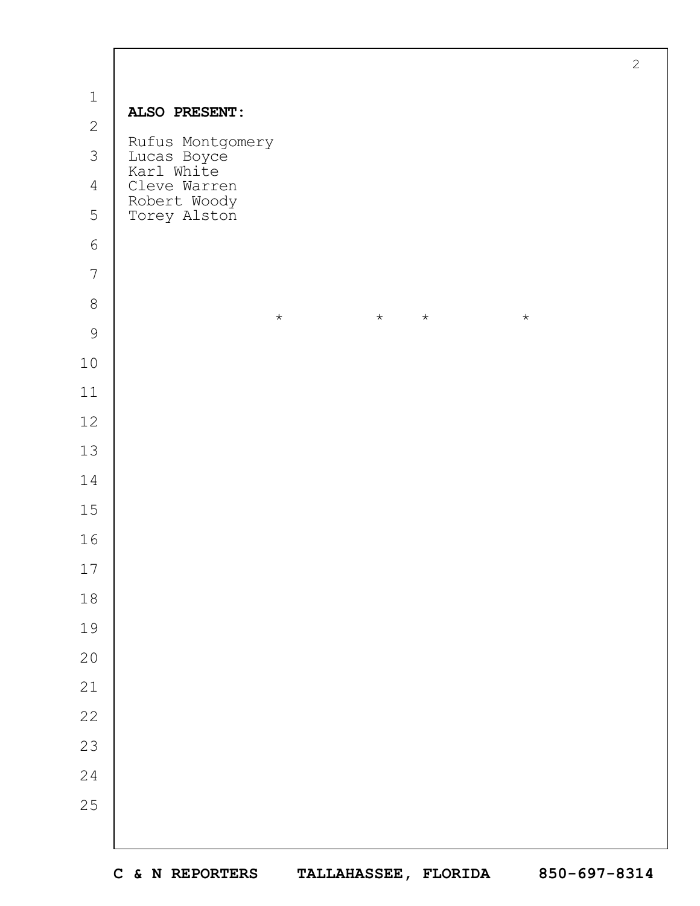| $\mathbf 1$    |                                               |  |
|----------------|-----------------------------------------------|--|
| $\mathbf{2}$   | ALSO PRESENT:                                 |  |
| 3              | Rufus Montgomery<br>Lucas Boyce<br>Karl White |  |
| $\overline{4}$ | Cleve Warren                                  |  |
| 5              | Robert Woody<br>Torey Alston                  |  |
| $\epsilon$     |                                               |  |
| $\overline{7}$ |                                               |  |
| $\,8\,$        | $\star$<br>$\star$<br>$\star$<br>$\star$      |  |
| 9              |                                               |  |
| $10$           |                                               |  |
| $11$           |                                               |  |
| 12             |                                               |  |
| 13             |                                               |  |
| 14             |                                               |  |
| 15             |                                               |  |
| 16             |                                               |  |
| 17             |                                               |  |
| $18\,$         |                                               |  |
| 19             |                                               |  |
| 20             |                                               |  |
| $21$           |                                               |  |
| 22             |                                               |  |
| 23             |                                               |  |
| 24             |                                               |  |
| 25             |                                               |  |
|                |                                               |  |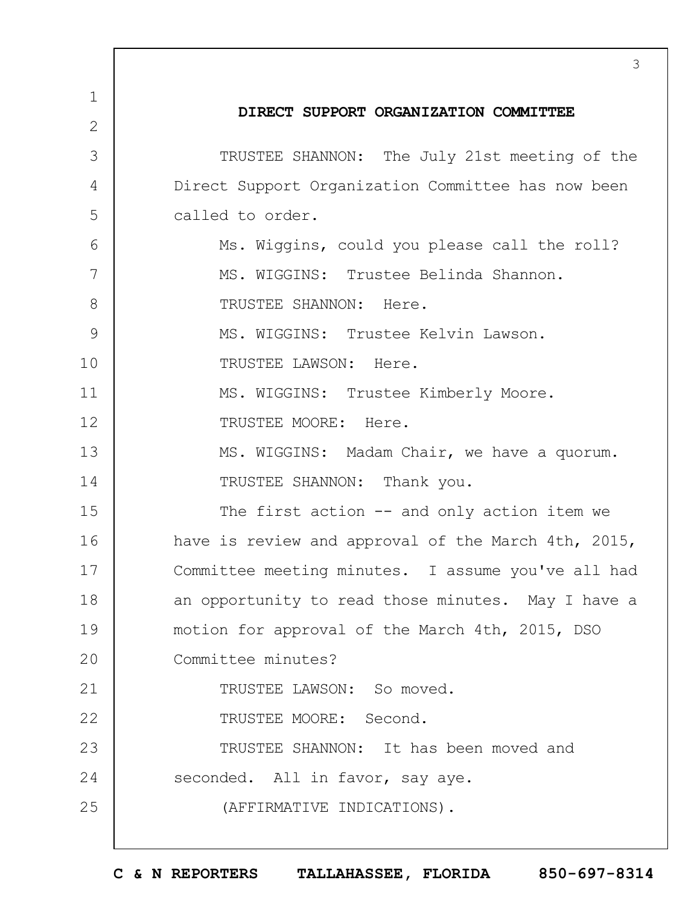1 2 3 4 5 6 7 8 9 10 11 12 13 14 15 16 17 18 19  $20$ 21 22 23 24 25 3 **DIRECT SUPPORT ORGANIZATION COMMITTEE** TRUSTEE SHANNON: The July 21st meeting of the Direct Support Organization Committee has now been called to order. Ms. Wiggins, could you please call the roll? MS. WIGGINS: Trustee Belinda Shannon. TRUSTEE SHANNON: Here. MS. WIGGINS: Trustee Kelvin Lawson. TRUSTEE LAWSON: Here. MS. WIGGINS: Trustee Kimberly Moore. TRUSTEE MOORE: Here. MS. WIGGINS: Madam Chair, we have a quorum. TRUSTEE SHANNON: Thank you. The first action -- and only action item we have is review and approval of the March 4th, 2015, Committee meeting minutes. I assume you've all had an opportunity to read those minutes. May I have a motion for approval of the March 4th, 2015, DSO Committee minutes? TRUSTEE LAWSON: So moved. TRUSTEE MOORE: Second. TRUSTEE SHANNON: It has been moved and seconded. All in favor, say aye. (AFFIRMATIVE INDICATIONS).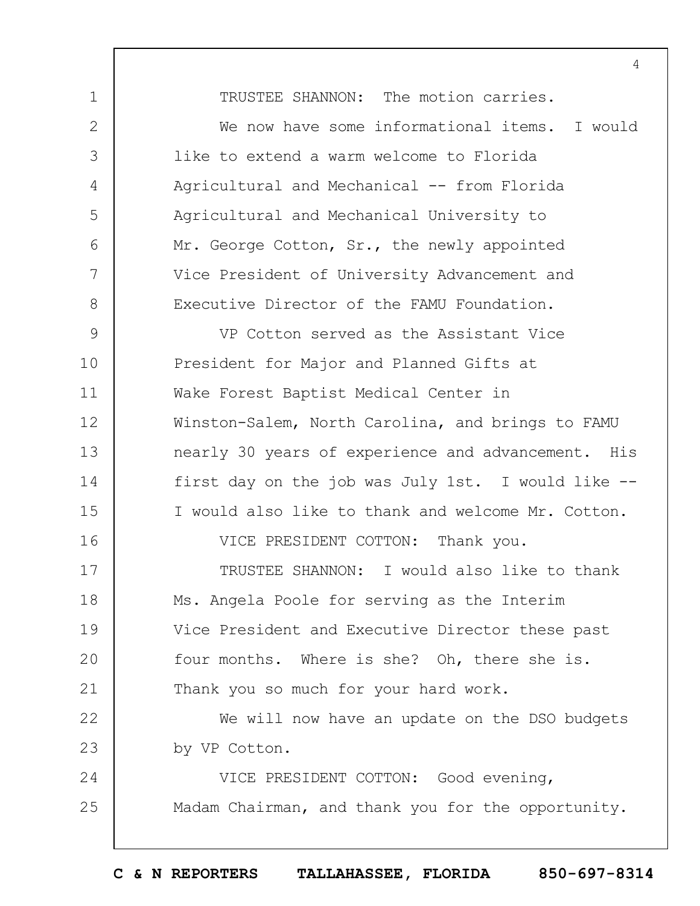1 2 3 4 5 6 7 8 9 10 11 12 13 14 15 16 17 18 19  $20$ 21 22 23 24 25 TRUSTEE SHANNON: The motion carries. We now have some informational items. I would like to extend a warm welcome to Florida Agricultural and Mechanical -- from Florida Agricultural and Mechanical University to Mr. George Cotton, Sr., the newly appointed Vice President of University Advancement and Executive Director of the FAMU Foundation. VP Cotton served as the Assistant Vice President for Major and Planned Gifts at Wake Forest Baptist Medical Center in Winston-Salem, North Carolina, and brings to FAMU nearly 30 years of experience and advancement. His first day on the job was July 1st. I would like -- I would also like to thank and welcome Mr. Cotton. VICE PRESIDENT COTTON: Thank you. TRUSTEE SHANNON: I would also like to thank Ms. Angela Poole for serving as the Interim Vice President and Executive Director these past four months. Where is she? Oh, there she is. Thank you so much for your hard work. We will now have an update on the DSO budgets by VP Cotton. VICE PRESIDENT COTTON: Good evening, Madam Chairman, and thank you for the opportunity.

4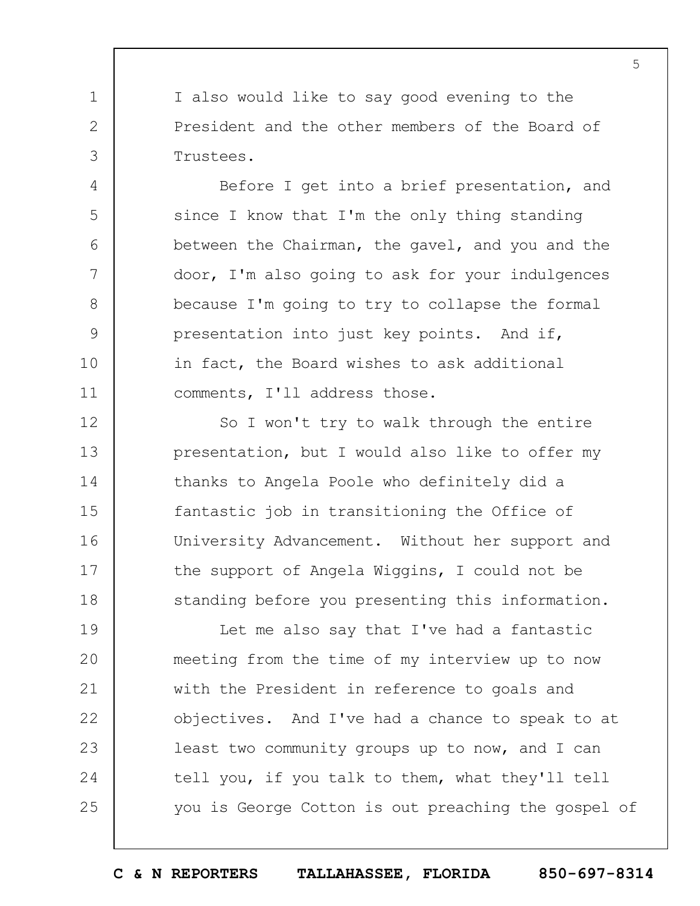I also would like to say good evening to the President and the other members of the Board of Trustees.

1

2

3

4

5

6

7

8

9

10

11

Before I get into a brief presentation, and since I know that I'm the only thing standing between the Chairman, the gavel, and you and the door, I'm also going to ask for your indulgences because I'm going to try to collapse the formal presentation into just key points. And if, in fact, the Board wishes to ask additional comments, I'll address those.

12 13 14 15 16 17 18 So I won't try to walk through the entire presentation, but I would also like to offer my thanks to Angela Poole who definitely did a fantastic job in transitioning the Office of University Advancement. Without her support and the support of Angela Wiggins, I could not be standing before you presenting this information.

19  $20$ 21 22 23 24 25 Let me also say that I've had a fantastic meeting from the time of my interview up to now with the President in reference to goals and objectives. And I've had a chance to speak to at least two community groups up to now, and I can tell you, if you talk to them, what they'll tell you is George Cotton is out preaching the gospel of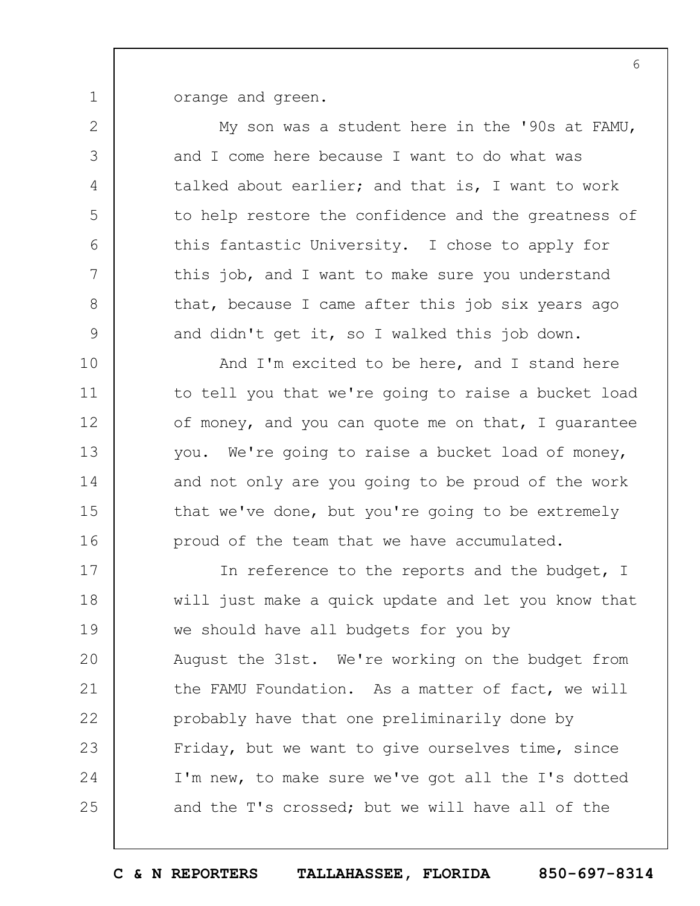orange and green.

1

2 3 4 5 6 7 8 9 10 11 12 13 14 15 16 17 18 19  $20$ 21 22 23 24 25 My son was a student here in the '90s at FAMU, and I come here because I want to do what was talked about earlier; and that is, I want to work to help restore the confidence and the greatness of this fantastic University. I chose to apply for this job, and I want to make sure you understand that, because I came after this job six years ago and didn't get it, so I walked this job down. And I'm excited to be here, and I stand here to tell you that we're going to raise a bucket load of money, and you can quote me on that, I guarantee you. We're going to raise a bucket load of money, and not only are you going to be proud of the work that we've done, but you're going to be extremely proud of the team that we have accumulated. In reference to the reports and the budget, I will just make a quick update and let you know that we should have all budgets for you by August the 31st. We're working on the budget from the FAMU Foundation. As a matter of fact, we will probably have that one preliminarily done by Friday, but we want to give ourselves time, since I'm new, to make sure we've got all the I's dotted and the T's crossed; but we will have all of the

**C & N REPORTERS TALLAHASSEE, FLORIDA 850-697-8314**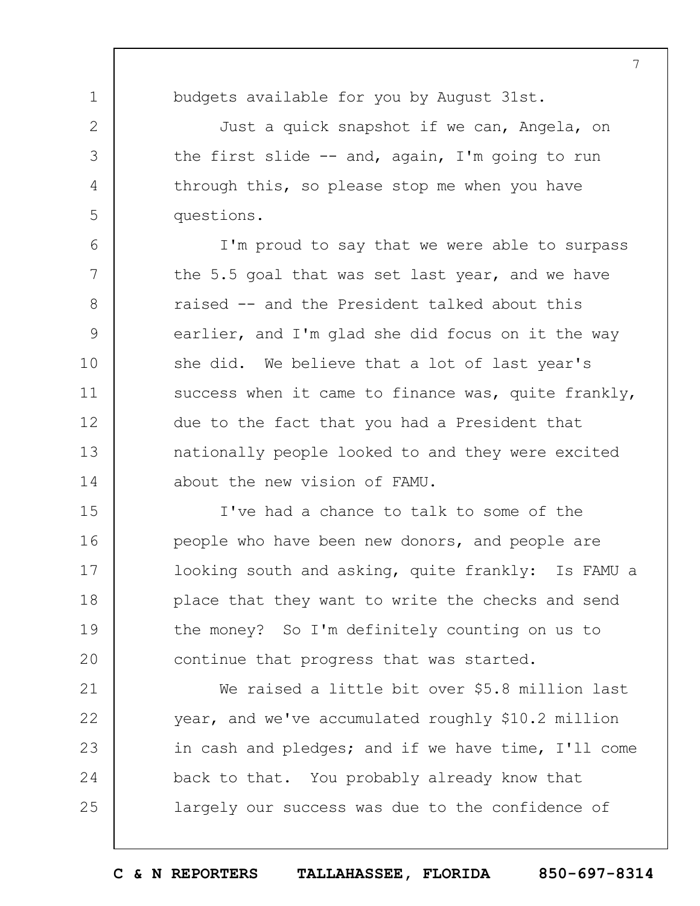7

1 2

3

4

5

6

7

8

9

10

11

12

13

14

21

22

23

24

25

budgets available for you by August 31st.

Just a quick snapshot if we can, Angela, on the first slide -- and, again, I'm going to run through this, so please stop me when you have questions.

I'm proud to say that we were able to surpass the 5.5 goal that was set last year, and we have raised -- and the President talked about this earlier, and I'm glad she did focus on it the way she did. We believe that a lot of last year's success when it came to finance was, quite frankly, due to the fact that you had a President that nationally people looked to and they were excited about the new vision of FAMU.

15 16 17 18 19  $20$ I've had a chance to talk to some of the people who have been new donors, and people are looking south and asking, quite frankly: Is FAMU a place that they want to write the checks and send the money? So I'm definitely counting on us to continue that progress that was started.

We raised a little bit over \$5.8 million last year, and we've accumulated roughly \$10.2 million in cash and pledges; and if we have time, I'll come back to that. You probably already know that largely our success was due to the confidence of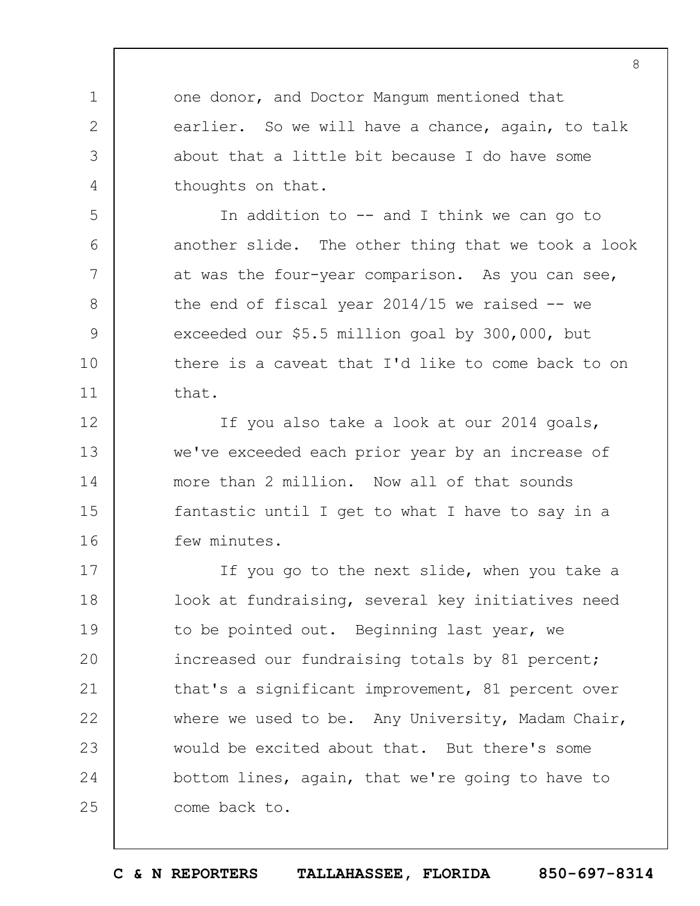one donor, and Doctor Mangum mentioned that earlier. So we will have a chance, again, to talk about that a little bit because I do have some thoughts on that.

1

2

3

4

5

6

7

8

9

10

11

12

13

14

15

16

In addition to -- and I think we can go to another slide. The other thing that we took a look at was the four-year comparison. As you can see, the end of fiscal year  $2014/15$  we raised  $-$  we exceeded our \$5.5 million goal by 300,000, but there is a caveat that I'd like to come back to on that.

If you also take a look at our 2014 goals, we've exceeded each prior year by an increase of more than 2 million. Now all of that sounds fantastic until I get to what I have to say in a few minutes.

17 18 19  $20$ 21 22 23 24 25 If you go to the next slide, when you take a look at fundraising, several key initiatives need to be pointed out. Beginning last year, we increased our fundraising totals by 81 percent; that's a significant improvement, 81 percent over where we used to be. Any University, Madam Chair, would be excited about that. But there's some bottom lines, again, that we're going to have to come back to.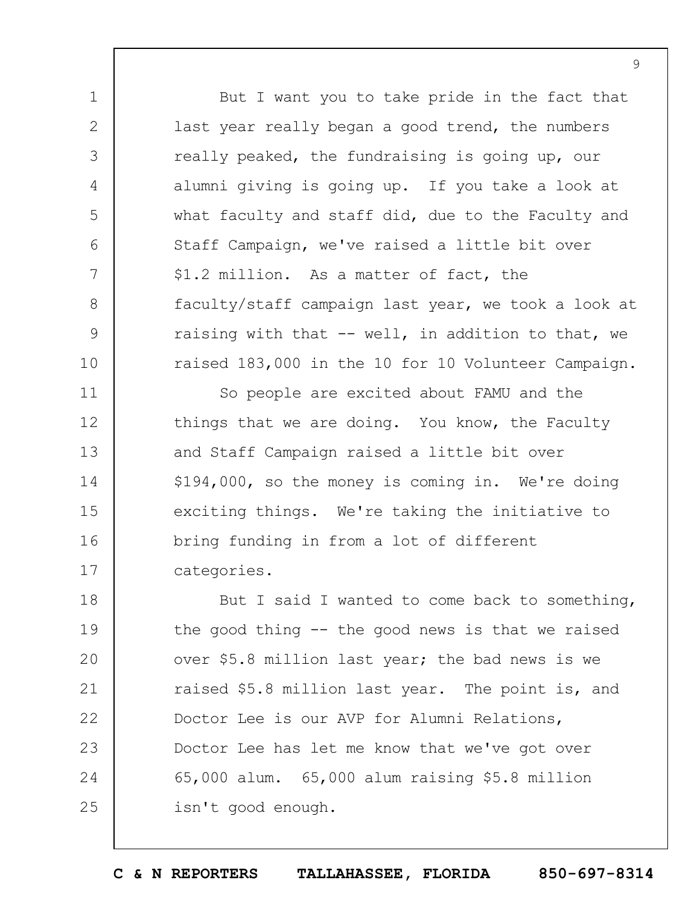But I want you to take pride in the fact that last year really began a good trend, the numbers really peaked, the fundraising is going up, our alumni giving is going up. If you take a look at what faculty and staff did, due to the Faculty and Staff Campaign, we've raised a little bit over \$1.2 million. As a matter of fact, the faculty/staff campaign last year, we took a look at raising with that  $--$  well, in addition to that, we raised 183,000 in the 10 for 10 Volunteer Campaign.

1

2

3

4

5

6

7

8

9

10

11 12 13 14 15 16 17 So people are excited about FAMU and the things that we are doing. You know, the Faculty and Staff Campaign raised a little bit over \$194,000, so the money is coming in. We're doing exciting things. We're taking the initiative to bring funding in from a lot of different categories.

18 19  $20$ 21 22 23 24 25 But I said I wanted to come back to something, the good thing -- the good news is that we raised over \$5.8 million last year; the bad news is we raised \$5.8 million last year. The point is, and Doctor Lee is our AVP for Alumni Relations, Doctor Lee has let me know that we've got over 65,000 alum. 65,000 alum raising \$5.8 million isn't good enough.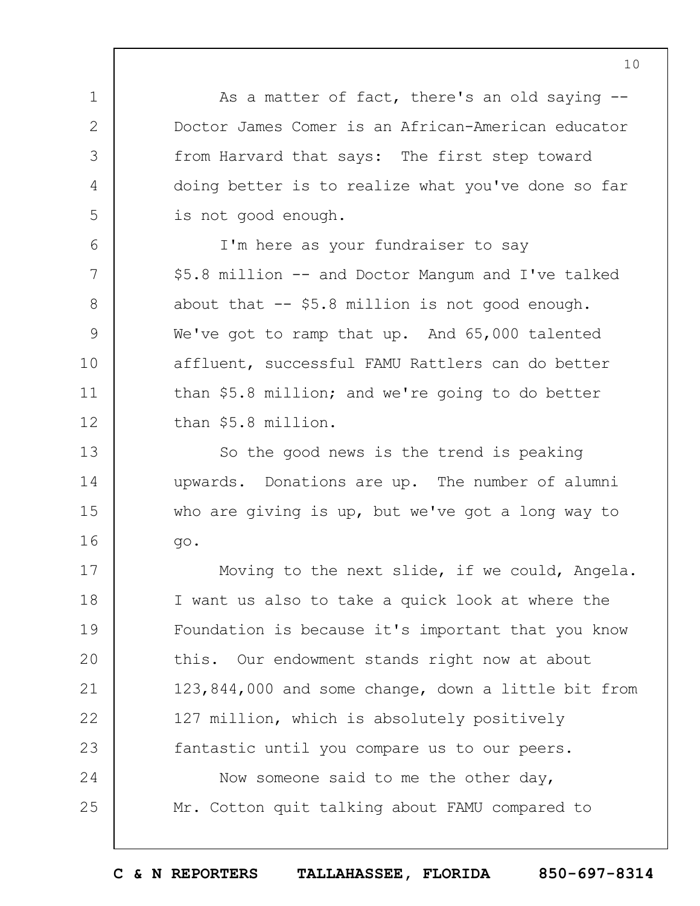As a matter of fact, there's an old saying -- Doctor James Comer is an African-American educator from Harvard that says: The first step toward doing better is to realize what you've done so far is not good enough.

1

2

3

4

5

6

7

8

9

10

11

12

13

14

15

16

I'm here as your fundraiser to say \$5.8 million -- and Doctor Mangum and I've talked about that -- \$5.8 million is not good enough. We've got to ramp that up. And 65,000 talented affluent, successful FAMU Rattlers can do better than \$5.8 million; and we're going to do better than \$5.8 million.

So the good news is the trend is peaking upwards. Donations are up. The number of alumni who are giving is up, but we've got a long way to go.

17 18 19  $20$ 21 22 23 24 25 Moving to the next slide, if we could, Angela. I want us also to take a quick look at where the Foundation is because it's important that you know this. Our endowment stands right now at about 123,844,000 and some change, down a little bit from 127 million, which is absolutely positively fantastic until you compare us to our peers. Now someone said to me the other day, Mr. Cotton quit talking about FAMU compared to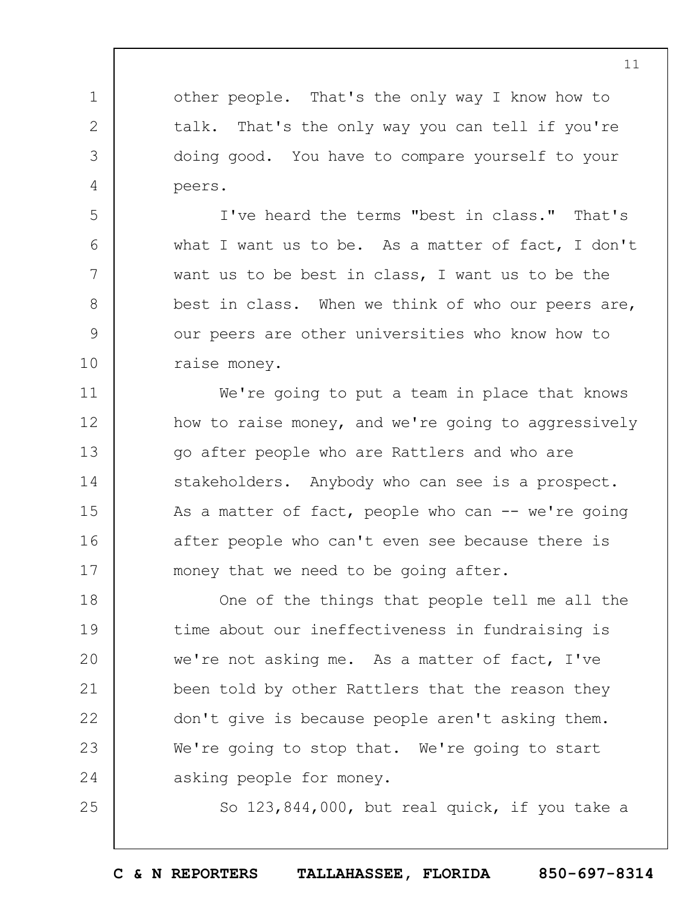other people. That's the only way I know how to talk. That's the only way you can tell if you're doing good. You have to compare yourself to your peers.

1

2

3

4

5

6

7

8

9

10

25

I've heard the terms "best in class." That's what I want us to be. As a matter of fact, I don't want us to be best in class, I want us to be the best in class. When we think of who our peers are, our peers are other universities who know how to raise money.

11 12 13 14 15 16 17 We're going to put a team in place that knows how to raise money, and we're going to aggressively go after people who are Rattlers and who are stakeholders. Anybody who can see is a prospect. As a matter of fact, people who can  $--$  we're going after people who can't even see because there is money that we need to be going after.

18 19  $20$ 21 22 23 24 One of the things that people tell me all the time about our ineffectiveness in fundraising is we're not asking me. As a matter of fact, I've been told by other Rattlers that the reason they don't give is because people aren't asking them. We're going to stop that. We're going to start asking people for money.

So 123,844,000, but real quick, if you take a

**C & N REPORTERS TALLAHASSEE, FLORIDA 850-697-8314**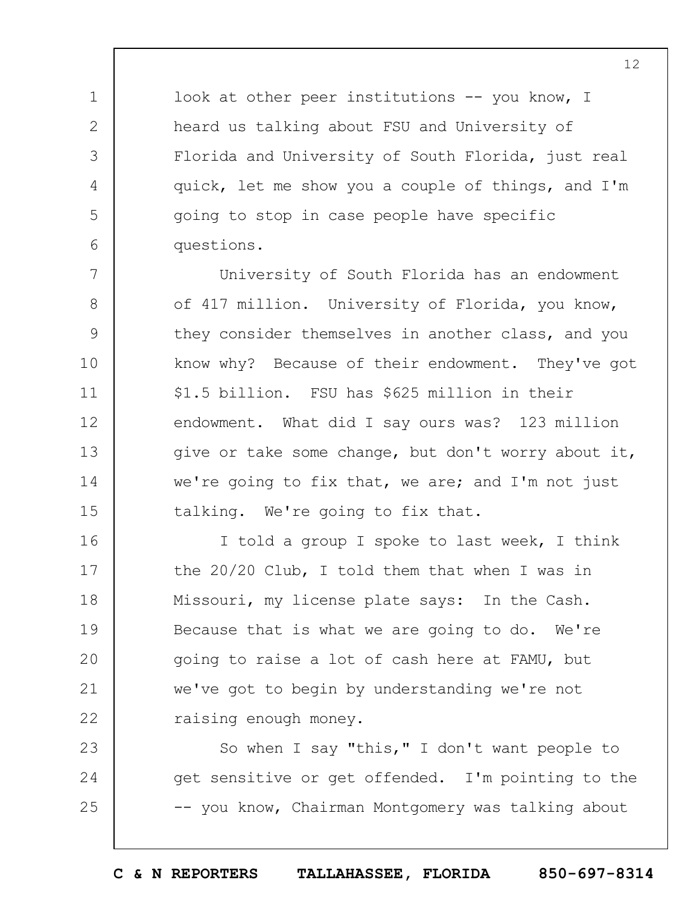look at other peer institutions -- you know, I heard us talking about FSU and University of Florida and University of South Florida, just real quick, let me show you a couple of things, and I'm going to stop in case people have specific questions.

1

2

3

4

5

6

7

8

9

10

11

12

13

14

15

University of South Florida has an endowment of 417 million. University of Florida, you know, they consider themselves in another class, and you know why? Because of their endowment. They've got \$1.5 billion. FSU has \$625 million in their endowment. What did I say ours was? 123 million give or take some change, but don't worry about it, we're going to fix that, we are; and I'm not just talking. We're going to fix that.

16 17 18 19  $20$ 21 22 I told a group I spoke to last week, I think the 20/20 Club, I told them that when I was in Missouri, my license plate says: In the Cash. Because that is what we are going to do. We're going to raise a lot of cash here at FAMU, but we've got to begin by understanding we're not raising enough money.

23 24 25 So when I say "this," I don't want people to get sensitive or get offended. I'm pointing to the -- you know, Chairman Montgomery was talking about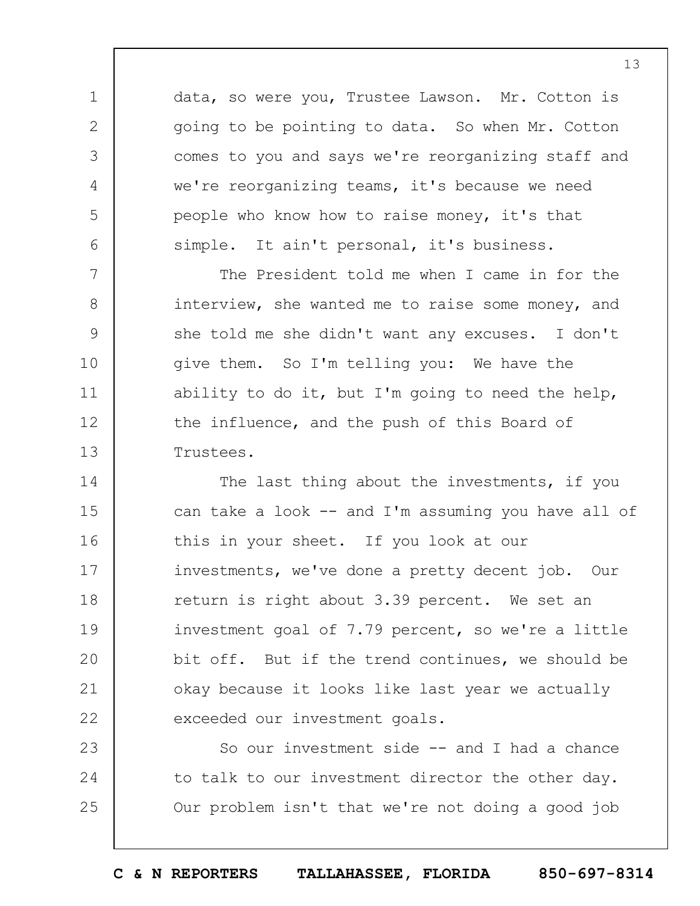data, so were you, Trustee Lawson. Mr. Cotton is going to be pointing to data. So when Mr. Cotton comes to you and says we're reorganizing staff and we're reorganizing teams, it's because we need people who know how to raise money, it's that simple. It ain't personal, it's business.

1

2

3

4

5

6

7 8 9 10 11 12 13 The President told me when I came in for the interview, she wanted me to raise some money, and she told me she didn't want any excuses. I don't give them. So I'm telling you: We have the ability to do it, but I'm going to need the help, the influence, and the push of this Board of Trustees.

14 15 16 17 18 19  $20$ 21 22 The last thing about the investments, if you can take a look -- and I'm assuming you have all of this in your sheet. If you look at our investments, we've done a pretty decent job. Our return is right about 3.39 percent. We set an investment goal of 7.79 percent, so we're a little bit off. But if the trend continues, we should be okay because it looks like last year we actually exceeded our investment goals.

23 24 25 So our investment side -- and I had a chance to talk to our investment director the other day. Our problem isn't that we're not doing a good job

**C & N REPORTERS TALLAHASSEE, FLORIDA 850-697-8314**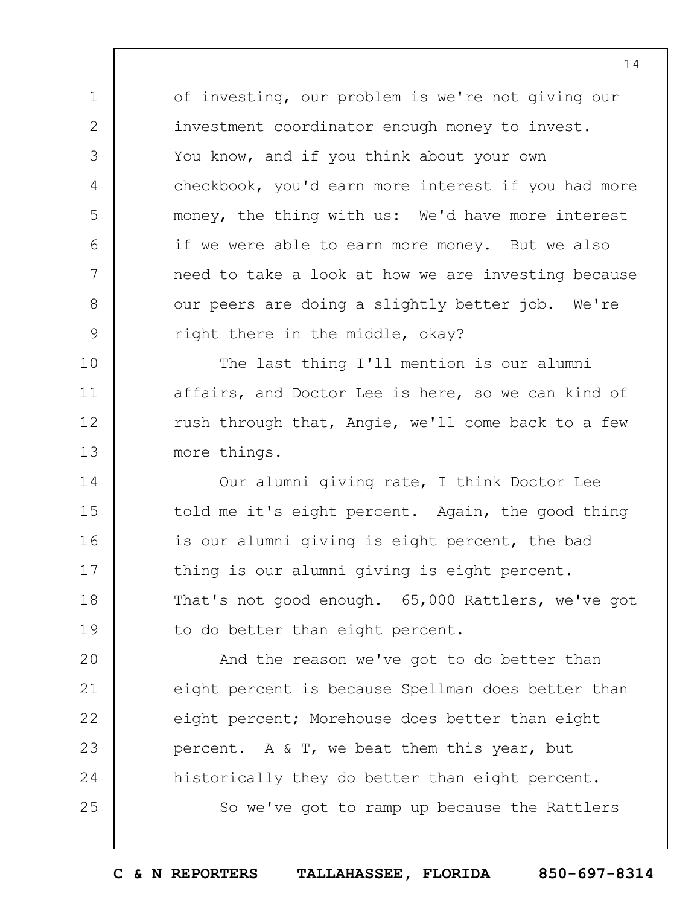of investing, our problem is we're not giving our investment coordinator enough money to invest. You know, and if you think about your own checkbook, you'd earn more interest if you had more money, the thing with us: We'd have more interest if we were able to earn more money. But we also need to take a look at how we are investing because our peers are doing a slightly better job. We're right there in the middle, okay?

1

2

3

4

5

6

7

8

9

10 11 12 13 The last thing I'll mention is our alumni affairs, and Doctor Lee is here, so we can kind of rush through that, Angie, we'll come back to a few more things.

14 15 16 17 18 19 Our alumni giving rate, I think Doctor Lee told me it's eight percent. Again, the good thing is our alumni giving is eight percent, the bad thing is our alumni giving is eight percent. That's not good enough. 65,000 Rattlers, we've got to do better than eight percent.

 $20$ 21 22 23 24 25 And the reason we've got to do better than eight percent is because Spellman does better than eight percent; Morehouse does better than eight percent. A & T, we beat them this year, but historically they do better than eight percent. So we've got to ramp up because the Rattlers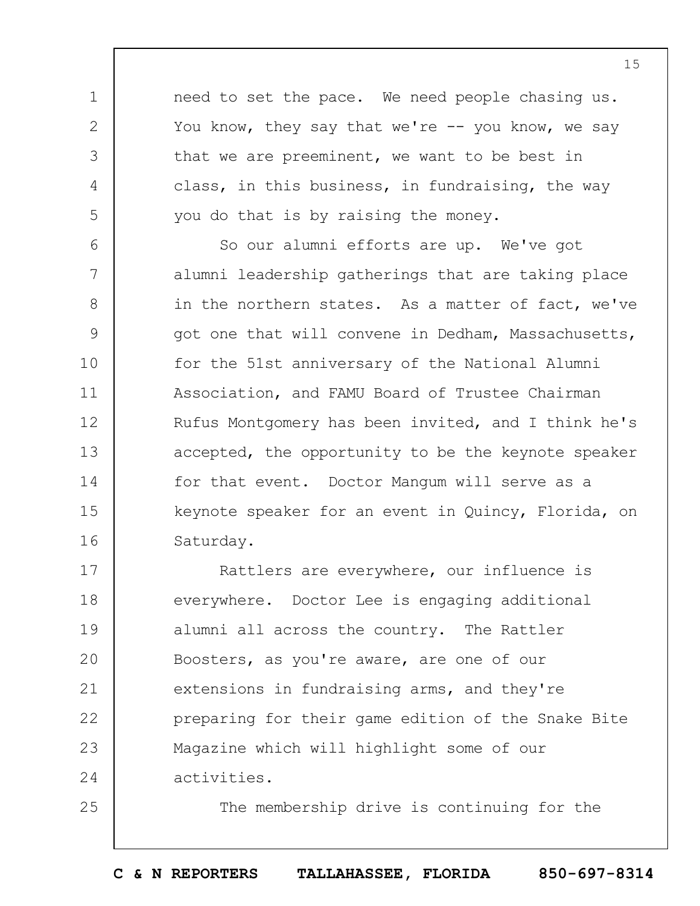need to set the pace. We need people chasing us. You know, they say that we're  $-$ - you know, we say that we are preeminent, we want to be best in class, in this business, in fundraising, the way you do that is by raising the money.

1

2

3

4

5

25

6 7 8 9 10 11 12 13 14 15 16 So our alumni efforts are up. We've got alumni leadership gatherings that are taking place in the northern states. As a matter of fact, we've got one that will convene in Dedham, Massachusetts, for the 51st anniversary of the National Alumni Association, and FAMU Board of Trustee Chairman Rufus Montgomery has been invited, and I think he's accepted, the opportunity to be the keynote speaker for that event. Doctor Mangum will serve as a keynote speaker for an event in Quincy, Florida, on Saturday.

17 18 19  $20$ 21 22 23 24 Rattlers are everywhere, our influence is everywhere. Doctor Lee is engaging additional alumni all across the country. The Rattler Boosters, as you're aware, are one of our extensions in fundraising arms, and they're preparing for their game edition of the Snake Bite Magazine which will highlight some of our activities.

The membership drive is continuing for the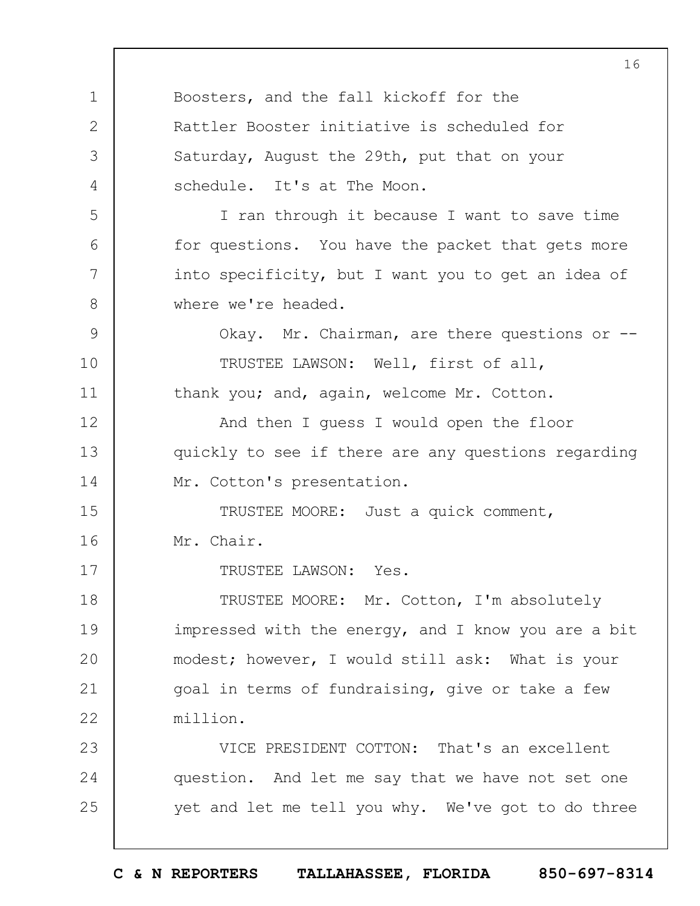1 2 3 4 5 6 7 8 9 10 11 12 13 14 15 16 17 18 19  $20$ 21 22 23 24 25 16 Boosters, and the fall kickoff for the Rattler Booster initiative is scheduled for Saturday, August the 29th, put that on your schedule. It's at The Moon. I ran through it because I want to save time for questions. You have the packet that gets more into specificity, but I want you to get an idea of where we're headed. Okay. Mr. Chairman, are there questions or --TRUSTEE LAWSON: Well, first of all, thank you; and, again, welcome Mr. Cotton. And then I guess I would open the floor quickly to see if there are any questions regarding Mr. Cotton's presentation. TRUSTEE MOORE: Just a quick comment, Mr. Chair. TRUSTEE LAWSON: Yes. TRUSTEE MOORE: Mr. Cotton, I'm absolutely impressed with the energy, and I know you are a bit modest; however, I would still ask: What is your goal in terms of fundraising, give or take a few million. VICE PRESIDENT COTTON: That's an excellent question. And let me say that we have not set one yet and let me tell you why. We've got to do three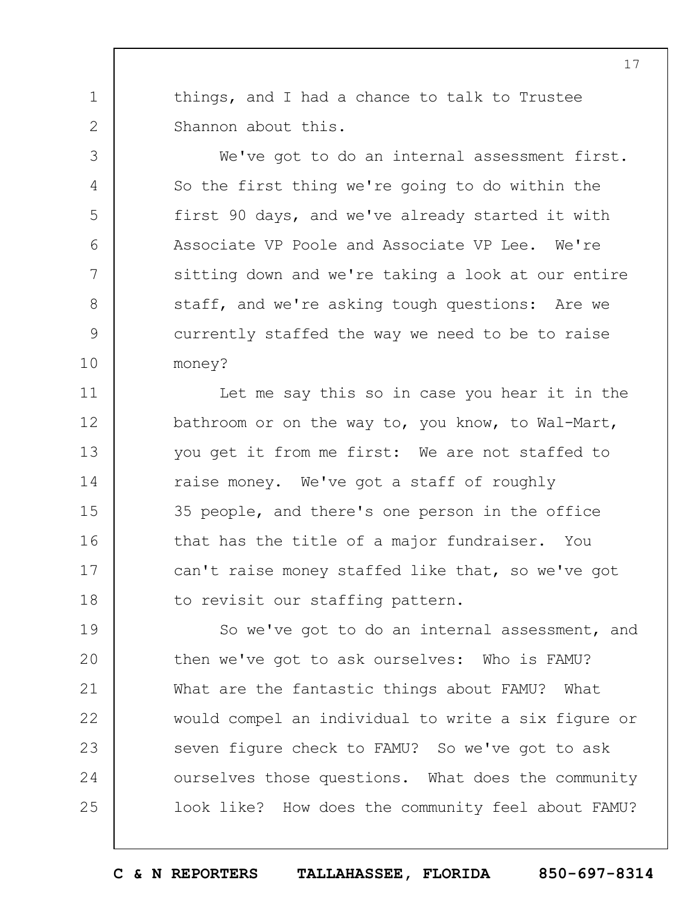things, and I had a chance to talk to Trustee Shannon about this.

1

2

3

4

5

6

7

8

9

10

We've got to do an internal assessment first. So the first thing we're going to do within the first 90 days, and we've already started it with Associate VP Poole and Associate VP Lee. We're sitting down and we're taking a look at our entire staff, and we're asking tough questions: Are we currently staffed the way we need to be to raise money?

11 12 13 14 15 16 17 18 Let me say this so in case you hear it in the bathroom or on the way to, you know, to Wal-Mart, you get it from me first: We are not staffed to raise money. We've got a staff of roughly 35 people, and there's one person in the office that has the title of a major fundraiser. You can't raise money staffed like that, so we've got to revisit our staffing pattern.

19  $20$ 21 22 23 24 25 So we've got to do an internal assessment, and then we've got to ask ourselves: Who is FAMU? What are the fantastic things about FAMU? What would compel an individual to write a six figure or seven figure check to FAMU? So we've got to ask ourselves those questions. What does the community look like? How does the community feel about FAMU?

**C & N REPORTERS TALLAHASSEE, FLORIDA 850-697-8314**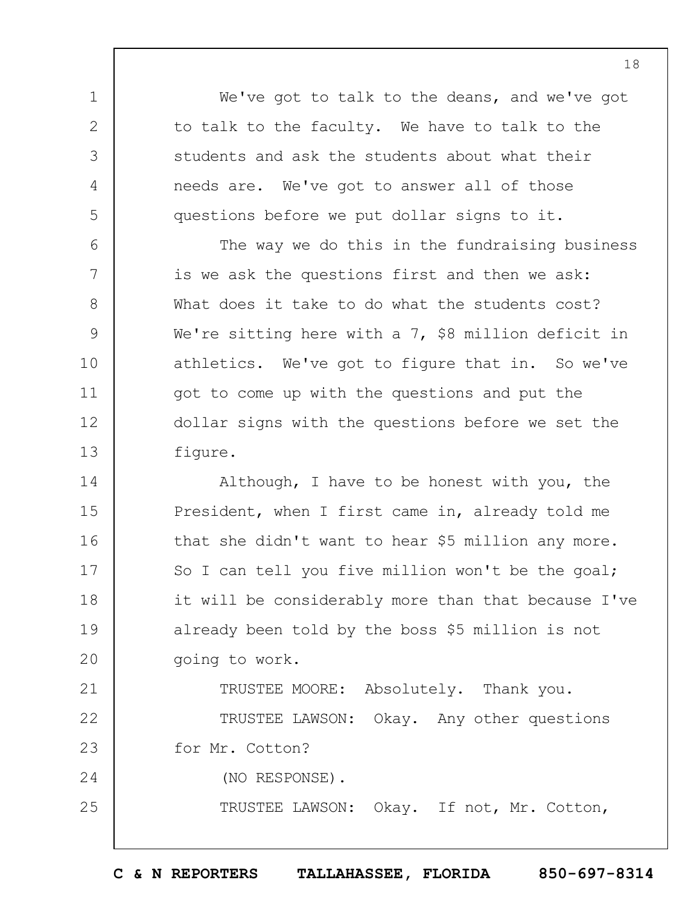We've got to talk to the deans, and we've got to talk to the faculty. We have to talk to the students and ask the students about what their needs are. We've got to answer all of those questions before we put dollar signs to it.

1

2

3

4

5

21

25

6 7 8 9 10 11 12 13 The way we do this in the fundraising business is we ask the questions first and then we ask: What does it take to do what the students cost? We're sitting here with a 7, \$8 million deficit in athletics. We've got to figure that in. So we've got to come up with the questions and put the dollar signs with the questions before we set the figure.

14 15 16 17 18 19  $20$ Although, I have to be honest with you, the President, when I first came in, already told me that she didn't want to hear \$5 million any more. So I can tell you five million won't be the goal; it will be considerably more than that because I've already been told by the boss \$5 million is not going to work.

TRUSTEE MOORE: Absolutely. Thank you.

22 23 24 TRUSTEE LAWSON: Okay. Any other questions for Mr. Cotton? (NO RESPONSE).

TRUSTEE LAWSON: Okay. If not, Mr. Cotton,

**C & N REPORTERS TALLAHASSEE, FLORIDA 850-697-8314**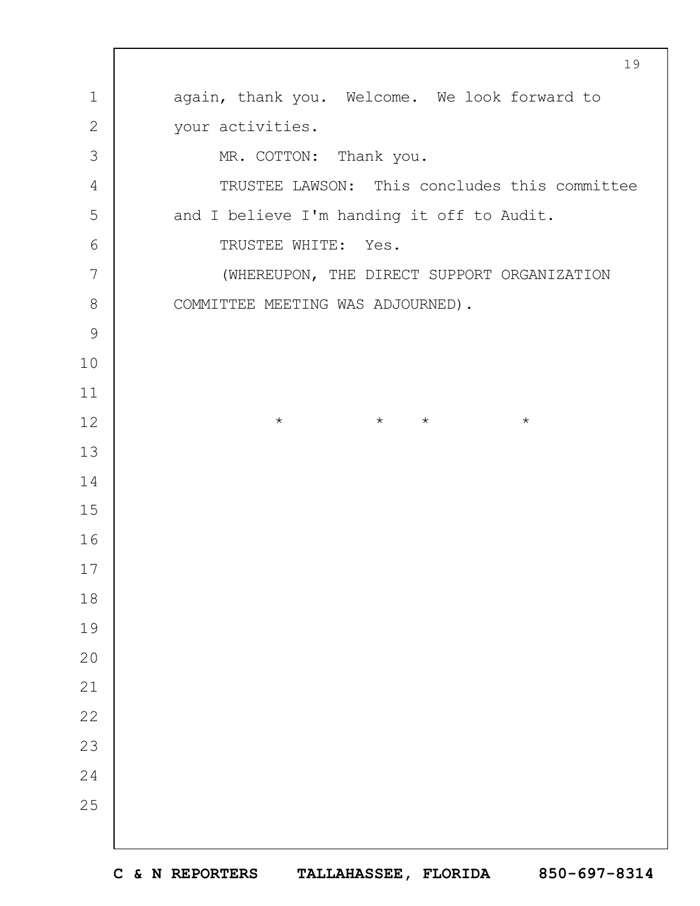|                | 19                                            |
|----------------|-----------------------------------------------|
| $\mathbf 1$    | again, thank you. Welcome. We look forward to |
| $\mathbf{2}$   | your activities.                              |
| 3              | MR. COTTON: Thank you.                        |
| $\overline{4}$ | TRUSTEE LAWSON: This concludes this committee |
| 5              | and I believe I'm handing it off to Audit.    |
| 6              | TRUSTEE WHITE: Yes.                           |
| 7              | (WHEREUPON, THE DIRECT SUPPORT ORGANIZATION   |
| $\,8\,$        | COMMITTEE MEETING WAS ADJOURNED).             |
| $\mathcal{G}$  |                                               |
| 10             |                                               |
| 11             |                                               |
| 12             | $\star$ $\star$<br>$\star$<br>$\star$         |
| 13             |                                               |
| 14             |                                               |
| 15             |                                               |
| 16             |                                               |
| 17             |                                               |
| $1\,8$         |                                               |
| 19             |                                               |
| 20             |                                               |
| 21             |                                               |
| 22             |                                               |
| 23             |                                               |
| 24             |                                               |
| 25             |                                               |
|                |                                               |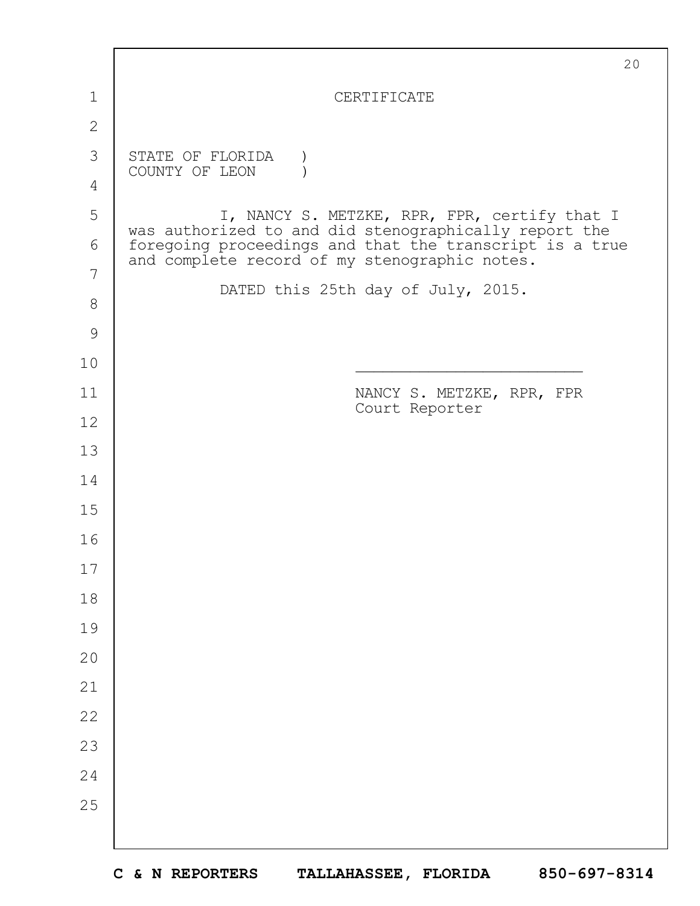|               | 20                                                                                                       |
|---------------|----------------------------------------------------------------------------------------------------------|
| 1             | CERTIFICATE                                                                                              |
| $\mathbf{2}$  |                                                                                                          |
| 3             | STATE OF FLORIDA<br>COUNTY OF LEON                                                                       |
| 4             |                                                                                                          |
| 5             | I, NANCY S. METZKE, RPR, FPR, certify that I<br>was authorized to and did stenographically report the    |
| 6             | foregoing proceedings and that the transcript is a true<br>and complete record of my stenographic notes. |
| 7             | DATED this 25th day of July, 2015.                                                                       |
| $8\,$         |                                                                                                          |
| $\mathcal{G}$ |                                                                                                          |
| 10            |                                                                                                          |
| 11            | NANCY S. METZKE, RPR, FPR<br>Court Reporter                                                              |
| 12            |                                                                                                          |
| 13            |                                                                                                          |
| 14            |                                                                                                          |
| 15            |                                                                                                          |
| 16            |                                                                                                          |
| 17            |                                                                                                          |
| 18            |                                                                                                          |
| 19            |                                                                                                          |
| 20            |                                                                                                          |
| 21            |                                                                                                          |
| 22            |                                                                                                          |
| 23            |                                                                                                          |
| 24            |                                                                                                          |
| 25            |                                                                                                          |
|               |                                                                                                          |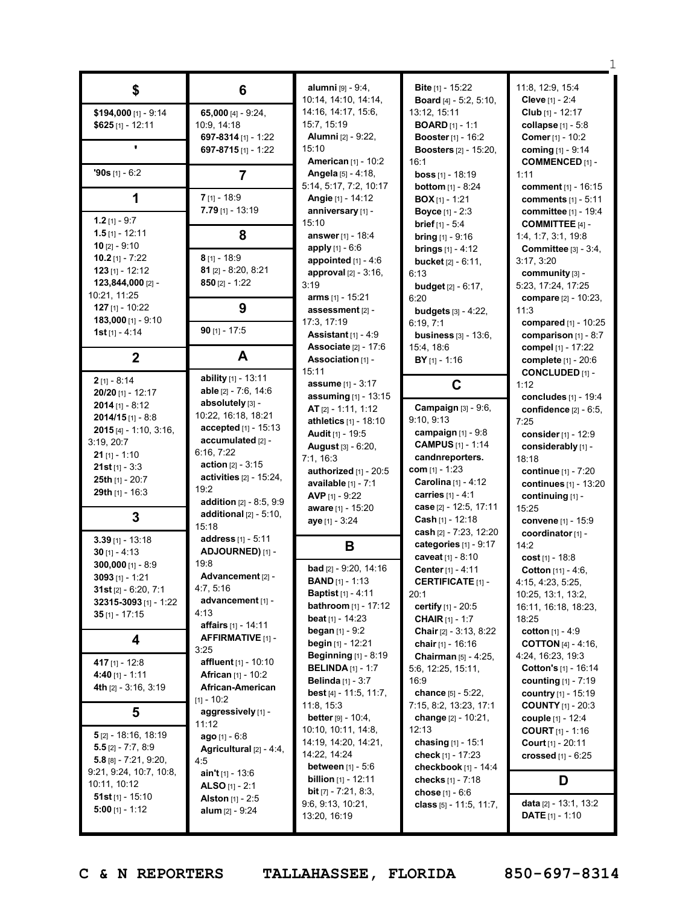| \$                           | 6                                | alumni [9] - 9:4,                                             | <b>Bite [1] - 15:22</b>              | 11:8, 12:9, 15:4                              |
|------------------------------|----------------------------------|---------------------------------------------------------------|--------------------------------------|-----------------------------------------------|
|                              |                                  | 10:14, 14:10, 14:14,                                          | Board [4] - 5:2, 5:10,               | Cleve [1] - 2:4                               |
| \$194,000 [1] - 9:14         | 65,000 $[4] - 9:24$ ,            | 14:16, 14:17, 15:6,                                           | 13:12, 15:11                         | Club [1] - 12:17                              |
| $$625$ [1] - 12:11           | 10:9, 14:18                      | 15:7, 15:19                                                   | <b>BOARD</b> $[1] - 1:1$             | collapse $[1] - 5.8$                          |
|                              | 697-8314 [1] - 1:22              | <b>Alumni</b> [2] - 9:22,                                     | <b>Booster</b> [1] - 16:2            | Comer [1] - 10:2                              |
|                              | 697-8715 [1] - 1:22              | 15:10                                                         | <b>Boosters</b> [2] - 15:20,         | coming [1] - 9:14                             |
|                              |                                  | <b>American [1] - 10:2</b>                                    | 16:1                                 | <b>COMMENCED [1] -</b>                        |
| $90s$ [1] - 6:2              | $\overline{7}$                   | Angela [5] - 4:18,                                            | <b>boss</b> $[1] - 18:19$            | 1:11                                          |
|                              |                                  | 5:14, 5:17, 7:2, 10:17                                        | <b>bottom</b> $[1] - 8:24$           | comment $[1] - 16:15$                         |
| 1                            | $7$ [1] - 18:9                   | Angie [1] - 14:12                                             | <b>BOX</b> $[1]$ - 1:21              | comments [1] - 5:11                           |
|                              | $7.79$ [1] - 13:19               | anniversary [1] -                                             | <b>Boyce</b> [1] - 2:3               | committee [1] - 19:4                          |
| 1.2 $[1] - 9:7$              |                                  | 15:10                                                         | <b>brief</b> [1] - 5:4               | <b>COMMITTEE [4] -</b>                        |
| $1.5$ [1] - 12:11            | 8                                | answer $[1]$ - 18:4                                           | <b>bring</b> $[1] - 9:16$            | 1:4, 1:7, 3:1, 19:8                           |
| 10 $[2] - 9:10$              |                                  | apply $[1] - 6.6$                                             | <b>brings</b> $[1] - 4:12$           | Committee $[3] - 3:4$ ,                       |
| 10.2 $[1] - 7:22$            | $8$ [1] - 18:9                   | appointed $[1] - 4:6$                                         | <b>bucket</b> $[2] - 6:11$ ,         | 3:17, 3:20                                    |
| $123$ [1] - 12:12            | $81$ [2] - 8:20, 8:21            | approval $[2] - 3:16$ ,                                       | 6:13                                 | community [3] -                               |
| 123,844,000 [2] -            | $850$ [2] - 1:22                 | 3:19                                                          |                                      | 5:23, 17:24, 17:25                            |
| 10:21, 11:25                 |                                  | arms [1] - 15:21                                              | <b>budget</b> $[2] - 6:17$ ,<br>6:20 |                                               |
| $127$ [1] - 10:22            | 9                                | assessment [2] -                                              |                                      | compare [2] - 10:23,                          |
| 183,000 [1] - 9:10           |                                  |                                                               | <b>budgets</b> [3] - 4:22,           | 11:3                                          |
| <b>1st</b> [1] - 4:14        | $90$ [1] - 17:5                  | 17:3, 17:19                                                   | 6:19, 7:1                            | compared [1] - 10:25                          |
|                              |                                  | <b>Assistant</b> $[1] - 4.9$<br><b>Associate</b> $[2] - 17:6$ | business $[3] - 13:6$ ,              | comparison $[1] - 8:7$                        |
| $\overline{2}$               | A                                | Association [1] -                                             | 15:4, 18:6                           | <b>compel</b> [1] - 17:22                     |
|                              |                                  | 15:11                                                         | $BY$ <sub>[1]</sub> - 1:16           | complete [1] - 20:6<br><b>CONCLUDED [1] -</b> |
| $2$ [1] - 8:14               | ability [1] - 13:11              |                                                               |                                      |                                               |
| 20/20 [1] - 12:17            | <b>able</b> $[2] - 7:6, 14:6$    | <b>assume</b> [1] - 3:17                                      | C                                    | 1:12                                          |
| $2014$ [1] - 8:12            | absolutely [3] -                 | assuming [1] - 13:15                                          | Campaign [3] - 9:6,                  | concludes [1] - 19:4                          |
| $2014/15$ [1] - 8:8          | 10:22, 16:18, 18:21              | AT $[2] - 1:11, 1:12$                                         | 9:10, 9:13                           | confidence [2] - 6:5,                         |
| $2015$ [4] - 1:10, 3:16,     | accepted [1] - 15:13             | athletics [1] - 18:10                                         | campaign $[1] - 9.8$                 | 7:25                                          |
| 3:19, 20:7                   | accumulated [2] -                | Audit [1] - 19:5                                              | <b>CAMPUS</b> [1] - 1:14             | consider [1] - 12:9                           |
| $21$ [1] - 1:10              | 6:16, 7:22                       | <b>August [3] - 6:20,</b>                                     |                                      | considerably [1] -                            |
| $21st$ [1] - 3:3             | <b>action</b> $[2] - 3:15$       | 7:1, 16:3                                                     | candnreporters.                      | 18:18                                         |
| 25th $[1]$ - 20:7            | activities $[2] - 15:24$ ,       | authorized $[1]$ - 20:5                                       | <b>com</b> [1] - 1:23                | continue [1] - 7:20                           |
| 29th [1] - 16:3              | 19:2                             | <b>available</b> $[1] - 7:1$                                  | Carolina [1] - 4:12                  | continues [1] - 13:20                         |
|                              | <b>addition</b> $[2] - 8:5, 9:9$ | AVP $[1] - 9:22$                                              | carries $[1] - 4:1$                  | continuing [1] -                              |
| 3                            | additional $[2] - 5:10$ ,        | aware [1] - 15:20                                             | case [2] - 12:5, 17:11               | 15:25                                         |
|                              | 15:18                            | aye [1] - 3:24                                                | <b>Cash</b> $[1] - 12:18$            | convene [1] - 15:9                            |
| $3.39$ [1] - 13:18           | address [1] - 5:11               |                                                               | cash [2] - 7:23, 12:20               | coordinator [1] -                             |
| $30$ [1] - 4:13              | ADJOURNED) [1] -                 | В                                                             | categories [1] - 9:17                | 14:2                                          |
| $300,000$ [1] - 8:9          | 19:8                             |                                                               | caveat [1] - 8:10                    | cost $[1]$ - 18:8                             |
| $3093$ [1] - 1:21            | Advancement [2] -                | bad [2] - 9:20, 14:16                                         | Center [1] - 4:11                    | Cotton [11] - 4:6,                            |
| $31st$ [2] - 6:20, 7:1       | 4:7, 5:16                        | <b>BAND</b> $[1] - 1:13$                                      | <b>CERTIFICATE [1] -</b>             | 4:15, 4:23, 5:25,                             |
| <b>32315-3093</b> [1] - 1:22 | advancement [1] -                | <b>Baptist</b> [1] - 4:11                                     | 20:1                                 | 10:25, 13:1, 13:2,                            |
|                              | 4:13                             | <b>bathroom</b> [1] - 17:12                                   | certify [1] - 20:5                   | 16:11, 16:18, 18:23,                          |
| 35 [1] - 17:15               | affairs [1] - 14:11              | <b>beat</b> $[1]$ - 14:23                                     | <b>CHAIR</b> $[1] - 1:7$             | 18:25                                         |
|                              | AFFIRMATIVE [1] -                | <b>began</b> $[1] - 9:2$                                      | Chair [2] - 3:13, 8:22               | cotton [1] - 4:9                              |
| 4                            | 3:25                             | begin [1] - 12:21                                             | chair $[1] - 16:16$                  | <b>COTTON</b> [4] - 4:16,                     |
| 417 [1] - 12:8               | affluent [1] - 10:10             | <b>Beginning</b> [1] - 8:19                                   | Chairman [5] - 4:25,                 | 4:24, 16:23, 19:3                             |
|                              |                                  | <b>BELINDA</b> [1] - 1:7                                      | 5:6, 12:25, 15:11,                   | Cotton's [1] - 16:14                          |
|                              |                                  |                                                               |                                      |                                               |
| 4:40 [1] - 1:11              | <b>African</b> [1] - 10:2        | <b>Belinda</b> $[1] - 3:7$                                    | 16:9                                 | <b>counting</b> $[1] - 7:19$                  |
| 4th [2] - 3:16, 3:19         | African-American                 | best [4] - 11:5, 11:7,                                        | chance [5] - 5:22,                   | <b>country</b> [1] - 15:19                    |
|                              | $[1] - 10:2$                     | 11:8, 15:3                                                    | 7:15, 8:2, 13:23, 17:1               | <b>COUNTY</b> [1] - 20:3                      |
| 5                            | aggressively [1] -               | <b>better</b> $[9] - 10:4$ ,                                  | change [2] - 10:21,                  | <b>couple</b> [1] - 12:4                      |
|                              | 11:12                            | 10:10, 10:11, 14:8,                                           | 12:13                                | <b>COURT</b> $[1] - 1:16$                     |
| $5$ [2] - 18:16, 18:19       | $ago$ [1] - 6:8                  | 14:19, 14:20, 14:21,                                          | chasing [1] - 15:1                   | <b>Court</b> $[1] - 20:11$                    |
| $5.5$ [2] - 7:7, 8:9         | Agricultural [2] - 4:4,          | 14:22, 14:24                                                  | check [1] - 17:23                    | crossed [1] - 6:25                            |
| $5.8$ [8] - 7:21, 9:20,      | 4:5                              | <b>between</b> $[1] - 5.6$                                    | checkbook [1] - 14:4                 |                                               |
| 9:21, 9:24, 10:7, 10:8,      | <b>ain't</b> $[1]$ - 13:6        | <b>billion</b> $[1]$ - 12:11                                  | checks [1] - 7:18                    |                                               |
| 10:11, 10:12                 | <b>ALSO</b> [1] - 2:1            | <b>bit</b> $[7] - 7:21, 8:3,$                                 | chose [1] - 6:6                      | D                                             |
| <b>51st</b> [1] - $15:10$    | <b>Alston</b> $[1] - 2:5$        | 9:6, 9:13, 10:21,                                             |                                      | data [2] - 13:1, 13:2                         |
| 5:00 [1] - 1:12              | <b>alum</b> $[2] - 9:24$         | 13:20, 16:19                                                  | class [5] - 11:5, 11:7,              | <b>DATE</b> $[1] - 1:10$                      |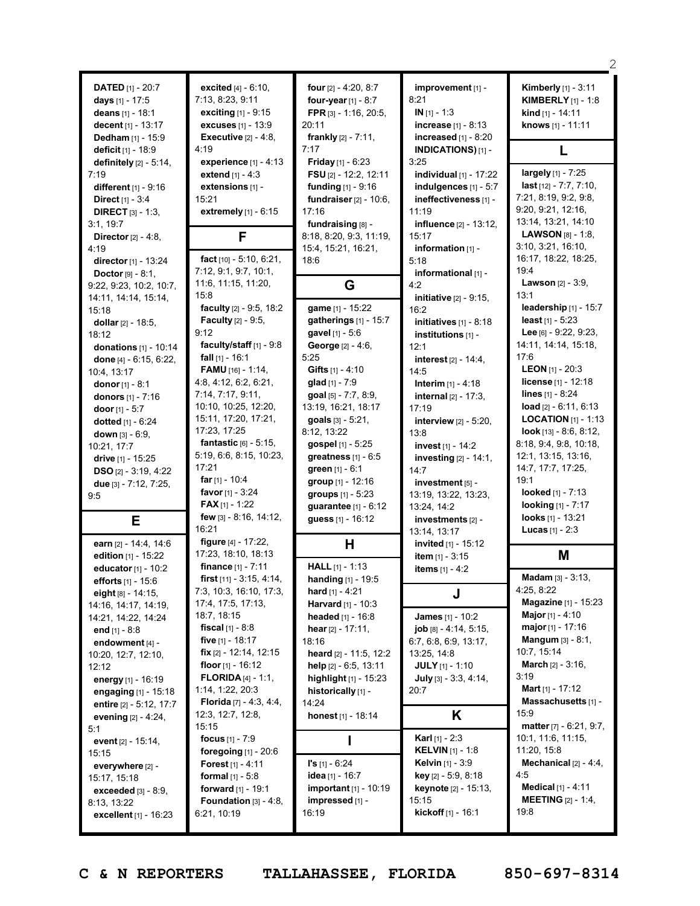| <b>DATED</b> $[1] - 20:7$<br>days [1] - 17:5<br>deans [1] - 18:1<br>decent [1] - 13:17<br>Dedham [1] - 15:9<br>deficit [1] - 18:9<br>definitely $[2] - 5:14$ ,<br>7:19<br>different $[1] - 9:16$<br><b>Direct</b> $[1] - 3:4$<br><b>DIRECT</b> $[3] - 1:3$ | excited [4] - 6:10,<br>7:13, 8:23, 9:11<br><b>exciting</b> $[1] - 9:15$<br><b>excuses</b> [1] - 13:9<br>Executive $[2] - 4.8$ ,<br>4:19<br>experience $[1] - 4:13$<br><b>extend</b> $[1] - 4:3$<br>extensions [1] -<br>15:21<br>extremely [1] - 6:15 | four $[2] - 4:20, 8:7$<br>four-year $[1] - 8:7$<br>FPR [3] - 1:16, 20:5,<br>20:11<br><b>frankly</b> $[2] - 7:11$ ,<br>7:17<br><b>Friday</b> [1] - $6:23$<br>FSU [2] - 12:2, 12:11<br><b>funding</b> $[1] - 9:16$<br>fundraiser $[2] - 10:6$ ,<br>17:16 | improvement [1] -<br>8:21<br>$IN [1] - 1:3$<br><b>increase</b> $[1] - 8:13$<br>increased $[1] - 8:20$<br><b>INDICATIONS)</b> [1] -<br>3:25<br>individual $[1]$ - 17:22<br>indulgences [1] - 5:7<br>ineffectiveness [1] -<br>11:19 | <b>Kimberly</b> [1] - 3:11<br><b>KIMBERLY</b> $[1] - 1:8$<br><b>kind</b> $[1] - 14:11$<br>knows [1] - 11:11<br>L<br>$largely$ [1] - 7:25<br>$last$ [12] - 7:7, 7:10,<br>7:21, 8:19, 9:2, 9:8,<br>9:20, 9:21, 12:16, |
|------------------------------------------------------------------------------------------------------------------------------------------------------------------------------------------------------------------------------------------------------------|------------------------------------------------------------------------------------------------------------------------------------------------------------------------------------------------------------------------------------------------------|--------------------------------------------------------------------------------------------------------------------------------------------------------------------------------------------------------------------------------------------------------|-----------------------------------------------------------------------------------------------------------------------------------------------------------------------------------------------------------------------------------|---------------------------------------------------------------------------------------------------------------------------------------------------------------------------------------------------------------------|
| 3:1, 19:7                                                                                                                                                                                                                                                  | F                                                                                                                                                                                                                                                    | fundraising [8] -                                                                                                                                                                                                                                      | influence [2] - 13:12,                                                                                                                                                                                                            | 13:14, 13:21, 14:10                                                                                                                                                                                                 |
| Director $[2] - 4:8$ ,                                                                                                                                                                                                                                     |                                                                                                                                                                                                                                                      | 8:18, 8:20, 9:3, 11:19,                                                                                                                                                                                                                                | 15:17                                                                                                                                                                                                                             | <b>LAWSON</b> $[8] - 1:8$                                                                                                                                                                                           |
| 4:19                                                                                                                                                                                                                                                       | fact [10] - 5:10, 6:21,                                                                                                                                                                                                                              | 15:4, 15:21, 16:21,                                                                                                                                                                                                                                    | information [1] -                                                                                                                                                                                                                 | 3:10, 3:21, 16:10,                                                                                                                                                                                                  |
| director [1] - 13:24                                                                                                                                                                                                                                       |                                                                                                                                                                                                                                                      | 18:6                                                                                                                                                                                                                                                   | 5:18                                                                                                                                                                                                                              | 16:17, 18:22, 18:25,                                                                                                                                                                                                |
| <b>Doctor</b> $[9] - 8:1$ ,                                                                                                                                                                                                                                | 7:12, 9:1, 9:7, 10:1,                                                                                                                                                                                                                                | G                                                                                                                                                                                                                                                      | informational [1] -                                                                                                                                                                                                               | 19:4                                                                                                                                                                                                                |
| 9:22, 9:23, 10:2, 10:7,                                                                                                                                                                                                                                    | 11:6, 11:15, 11:20,                                                                                                                                                                                                                                  |                                                                                                                                                                                                                                                        | 4:2                                                                                                                                                                                                                               | <b>Lawson</b> $[2] - 3:9$ ,                                                                                                                                                                                         |
| 14:11, 14:14, 15:14,                                                                                                                                                                                                                                       | 15:8                                                                                                                                                                                                                                                 | game [1] - 15:22                                                                                                                                                                                                                                       | initiative [2] - 9:15,                                                                                                                                                                                                            | 13:1                                                                                                                                                                                                                |
| 15:18                                                                                                                                                                                                                                                      | faculty [2] - 9:5, 18:2                                                                                                                                                                                                                              |                                                                                                                                                                                                                                                        | 16:2                                                                                                                                                                                                                              | leadership $[1] - 15:7$                                                                                                                                                                                             |
| dollar $[2] - 18:5$ ,                                                                                                                                                                                                                                      | <b>Faculty</b> [2] - 9:5,                                                                                                                                                                                                                            | gatherings [1] - 15:7                                                                                                                                                                                                                                  | initiatives $[1] - 8:18$                                                                                                                                                                                                          | least $[1] - 5:23$                                                                                                                                                                                                  |
| 18:12                                                                                                                                                                                                                                                      | 9:12                                                                                                                                                                                                                                                 | gavel [1] - 5:6                                                                                                                                                                                                                                        | institutions [1] -                                                                                                                                                                                                                | Lee [6] - 9:22, 9:23,                                                                                                                                                                                               |
| donations $[1] - 10:14$                                                                                                                                                                                                                                    | faculty/staff $[1] - 9.8$<br>fall $[1] - 16:1$                                                                                                                                                                                                       | George [2] - 4:6,<br>5:25                                                                                                                                                                                                                              | 12:1                                                                                                                                                                                                                              | 14:11, 14:14, 15:18,<br>17:6                                                                                                                                                                                        |
| done [4] - 6:15, 6:22,                                                                                                                                                                                                                                     | <b>FAMU</b> [16] - 1:14,                                                                                                                                                                                                                             | Gifts $[1] - 4:10$                                                                                                                                                                                                                                     | <b>interest</b> $[2] - 14:4$ ,                                                                                                                                                                                                    | <b>LEON</b> $[1]$ - 20:3                                                                                                                                                                                            |
| 10:4, 13:17                                                                                                                                                                                                                                                | 4:8, 4:12, 6:2, 6:21,                                                                                                                                                                                                                                |                                                                                                                                                                                                                                                        | 14:5                                                                                                                                                                                                                              | license [1] - 12:18                                                                                                                                                                                                 |
| donor $[1] - 8:1$                                                                                                                                                                                                                                          | 7:14, 7:17, 9:11,                                                                                                                                                                                                                                    | <b>glad</b> $[1] - 7:9$                                                                                                                                                                                                                                | <b>Interim</b> $[1] - 4:18$                                                                                                                                                                                                       | lines [1] - 8:24                                                                                                                                                                                                    |
| donors [1] - 7:16                                                                                                                                                                                                                                          | 10:10, 10:25, 12:20,                                                                                                                                                                                                                                 | goal [5] - 7:7, 8:9,                                                                                                                                                                                                                                   | internal [2] - 17:3,                                                                                                                                                                                                              | $load$ [2] - 6:11, 6:13                                                                                                                                                                                             |
| door $[1] - 5:7$<br><b>dotted</b> $[1] - 6:24$                                                                                                                                                                                                             | 15:11, 17:20, 17:21,<br>17:23, 17:25                                                                                                                                                                                                                 | 13:19, 16:21, 18:17<br>goals [3] - 5:21,<br>8:12, 13:22                                                                                                                                                                                                | 17:19<br>interview $[2] - 5:20$ ,                                                                                                                                                                                                 | <b>LOCATION</b> $[1]$ - 1:13<br>$look$ [13] - 8:6, 8:12,                                                                                                                                                            |
| down $[3] - 6:9$ ,                                                                                                                                                                                                                                         | fantastic $[6] - 5:15$ ,                                                                                                                                                                                                                             | gospel [1] - 5:25                                                                                                                                                                                                                                      | 13:8                                                                                                                                                                                                                              | 8:18, 9:4, 9:8, 10:18,                                                                                                                                                                                              |
| 10:21, 17:7                                                                                                                                                                                                                                                | 5:19, 6:6, 8:15, 10:23,                                                                                                                                                                                                                              |                                                                                                                                                                                                                                                        | invest [1] - 14:2                                                                                                                                                                                                                 | 12:1, 13:15, 13:16,                                                                                                                                                                                                 |
| drive [1] - 15:25                                                                                                                                                                                                                                          | 17:21                                                                                                                                                                                                                                                | greatness $[1] - 6:5$                                                                                                                                                                                                                                  | investing [2] - 14:1,                                                                                                                                                                                                             | 14:7, 17:7, 17:25,                                                                                                                                                                                                  |
| <b>DSO</b> [2] - $3:19, 4:22$                                                                                                                                                                                                                              | far $[1] - 10:4$                                                                                                                                                                                                                                     | green [1] - 6:1                                                                                                                                                                                                                                        | 14:7                                                                                                                                                                                                                              | 19:1                                                                                                                                                                                                                |
| due [3] - 7:12, 7:25,                                                                                                                                                                                                                                      | <b>favor</b> $[1] - 3:24$                                                                                                                                                                                                                            | group $[1]$ - 12:16                                                                                                                                                                                                                                    | investment [5] -                                                                                                                                                                                                                  | looked [1] - 7:13                                                                                                                                                                                                   |
| 9:5                                                                                                                                                                                                                                                        | <b>FAX</b> [1] - 1:22                                                                                                                                                                                                                                | groups $[1] - 5:23$                                                                                                                                                                                                                                    | 13:19, 13:22, 13:23,                                                                                                                                                                                                              | <b>looking</b> [1] - 7:17                                                                                                                                                                                           |
| Е                                                                                                                                                                                                                                                          | few [3] - 8:16, 14:12,<br>16:21                                                                                                                                                                                                                      | guarantee [1] - 6:12<br>guess [1] - 16:12                                                                                                                                                                                                              | 13:24, 14:2<br>investments [2] -<br>13:14, 13:17                                                                                                                                                                                  | looks [1] - 13:21<br><b>Lucas</b> $[1] - 2:3$                                                                                                                                                                       |
| earn [2] - 14:4, 14:6<br>edition [1] - 15:22                                                                                                                                                                                                               | figure [4] - 17:22,<br>17:23, 18:10, 18:13                                                                                                                                                                                                           | Н                                                                                                                                                                                                                                                      | invited [1] - 15:12                                                                                                                                                                                                               | Μ                                                                                                                                                                                                                   |
| educator [1] - 10:2                                                                                                                                                                                                                                        | finance $[1] - 7:11$                                                                                                                                                                                                                                 | <b>HALL</b> $[1] - 1:13$                                                                                                                                                                                                                               | <b>item</b> $[1]$ - 3:15                                                                                                                                                                                                          | Madam [3] - 3:13,                                                                                                                                                                                                   |
| efforts [1] - 15:6                                                                                                                                                                                                                                         | first $[11] - 3:15, 4:14,$                                                                                                                                                                                                                           | handing [1] - 19:5                                                                                                                                                                                                                                     | items $[1] - 4:2$                                                                                                                                                                                                                 |                                                                                                                                                                                                                     |
| eight [8] - 14:15.                                                                                                                                                                                                                                         | 7:3, 10:3, 16:10, 17:3,<br>17:4, 17:5, 17:13,                                                                                                                                                                                                        | <b>hard</b> $[1] - 4:21$<br><b>Harvard</b> [1] - 10:3                                                                                                                                                                                                  | J                                                                                                                                                                                                                                 | 4:25, 8:22<br><b>Magazine</b> [1] - 15:23                                                                                                                                                                           |
| 14:16, 14:17, 14:19,                                                                                                                                                                                                                                       | 18:7, 18:15                                                                                                                                                                                                                                          | <b>headed</b> $[1]$ - 16:8                                                                                                                                                                                                                             | James [1] - 10:2                                                                                                                                                                                                                  | <b>Major</b> [1] - 4:10                                                                                                                                                                                             |
| 14:21, 14:22, 14:24                                                                                                                                                                                                                                        | <b>fiscal</b> $[1] - 8:8$                                                                                                                                                                                                                            | hear $[2] - 17:11$ ,                                                                                                                                                                                                                                   | $job [8] - 4:14, 5:15,$                                                                                                                                                                                                           | major [1] - 17:16                                                                                                                                                                                                   |
| end $[1] - 8:8$                                                                                                                                                                                                                                            | five $[1]$ - 18:17                                                                                                                                                                                                                                   | 18:16                                                                                                                                                                                                                                                  | 6:7, 6:8, 6:9, 13:17,                                                                                                                                                                                                             | <b>Mangum</b> $[3] - 8:1$ ,                                                                                                                                                                                         |
| endowment [4] -                                                                                                                                                                                                                                            | <b>fix</b> $[2] - 12:14$ , 12:15                                                                                                                                                                                                                     | heard [2] - 11:5, 12:2                                                                                                                                                                                                                                 | 13:25, 14:8                                                                                                                                                                                                                       | 10:7, 15:14                                                                                                                                                                                                         |
| 10:20, 12:7, 12:10,<br>12:12                                                                                                                                                                                                                               | floor $[1]$ - 16:12<br><b>FLORIDA</b> $[4] - 1:1$ ,                                                                                                                                                                                                  | help $[2] - 6:5, 13:11$                                                                                                                                                                                                                                | <b>JULY</b> $[1]$ - 1:10                                                                                                                                                                                                          | <b>March</b> $[2] - 3:16$ ,<br>3:19                                                                                                                                                                                 |
| energy [1] - 16:19                                                                                                                                                                                                                                         | 1:14, 1:22, 20:3                                                                                                                                                                                                                                     | highlight [1] - 15:23                                                                                                                                                                                                                                  | July $[3] - 3:3, 4:14,$                                                                                                                                                                                                           | <b>Mart</b> [1] - 17:12                                                                                                                                                                                             |
| engaging $[1]$ - 15:18                                                                                                                                                                                                                                     | <b>Florida</b> [7] - 4:3, 4:4,                                                                                                                                                                                                                       | historically [1] -                                                                                                                                                                                                                                     | 20:7                                                                                                                                                                                                                              | Massachusetts [1] -                                                                                                                                                                                                 |
| entire [2] - 5:12, 17:7                                                                                                                                                                                                                                    | 12:3, 12:7, 12:8,                                                                                                                                                                                                                                    | 14:24                                                                                                                                                                                                                                                  | Κ                                                                                                                                                                                                                                 | 15:9                                                                                                                                                                                                                |
| evening $[2] - 4:24$ ,                                                                                                                                                                                                                                     | 15:15                                                                                                                                                                                                                                                | honest [1] - 18:14                                                                                                                                                                                                                                     |                                                                                                                                                                                                                                   | matter [7] - 6:21, 9:7,                                                                                                                                                                                             |
| 5:1                                                                                                                                                                                                                                                        | focus $[1] - 7:9$                                                                                                                                                                                                                                    |                                                                                                                                                                                                                                                        | <b>Karl</b> [1] - 2:3                                                                                                                                                                                                             | 10:1, 11:6, 11:15,                                                                                                                                                                                                  |
| event $[2] - 15:14$ ,                                                                                                                                                                                                                                      | foregoing $[1]$ - 20:6                                                                                                                                                                                                                               |                                                                                                                                                                                                                                                        | <b>KELVIN</b> [1] - 1:8                                                                                                                                                                                                           | 11:20, 15:8                                                                                                                                                                                                         |
| 15:15                                                                                                                                                                                                                                                      | <b>Forest</b> [1] - 4:11                                                                                                                                                                                                                             | $I's [1] - 6:24$                                                                                                                                                                                                                                       | Kelvin [1] - 3:9                                                                                                                                                                                                                  | Mechanical $[2] - 4:4$ ,                                                                                                                                                                                            |
| everywhere [2] -                                                                                                                                                                                                                                           |                                                                                                                                                                                                                                                      | idea [1] - 16:7                                                                                                                                                                                                                                        | <b>key</b> [2] - 5:9, 8:18                                                                                                                                                                                                        | 4.5                                                                                                                                                                                                                 |
| 15:17, 15:18                                                                                                                                                                                                                                               | <b>formal</b> $[1] - 5:8$                                                                                                                                                                                                                            | <b>important</b> [1] - 10:19                                                                                                                                                                                                                           | keynote [2] - 15:13,                                                                                                                                                                                                              | <b>Medical</b> $[1] - 4:11$                                                                                                                                                                                         |
| <b>exceeded</b> $[3] - 8:9$ ,                                                                                                                                                                                                                              | forward [1] - 19:1                                                                                                                                                                                                                                   |                                                                                                                                                                                                                                                        | 15:15                                                                                                                                                                                                                             | <b>MEETING</b> $[2] - 1:4$ ,                                                                                                                                                                                        |
| 8:13, 13:22<br>excellent [1] - 16:23                                                                                                                                                                                                                       | <b>Foundation</b> $[3] - 4:8$ ,<br>6:21, 10:19                                                                                                                                                                                                       | impressed [1] -<br>16:19                                                                                                                                                                                                                               | kickoff [1] - 16:1                                                                                                                                                                                                                | 19:8                                                                                                                                                                                                                |

**C & N REPORTERS TALLAHASSEE, FLORIDA 850-697-8314**

 $^{\circ}$   $^{\circ}$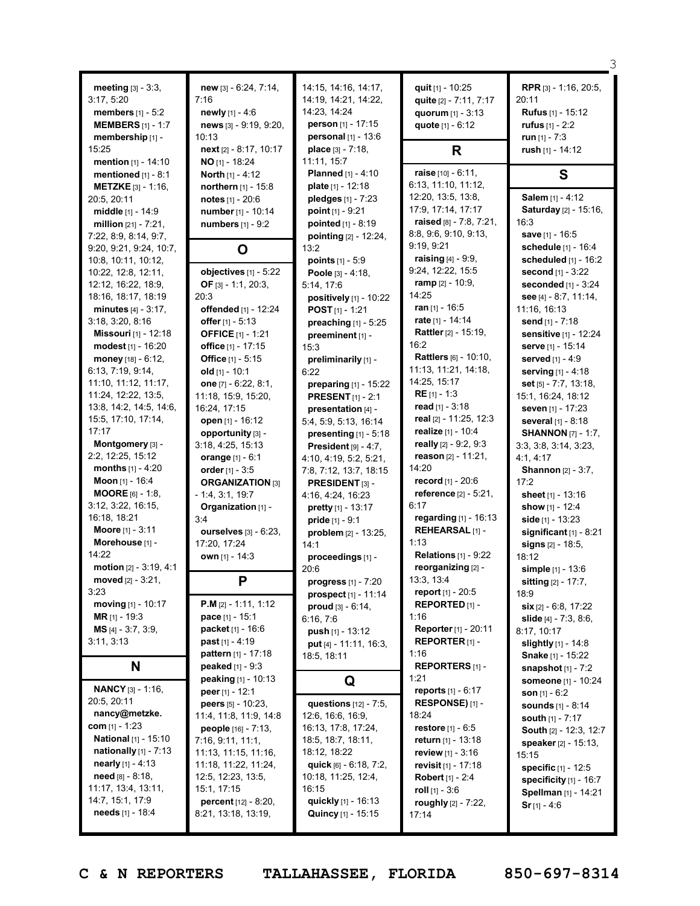| <b>meeting</b> $[3] - 3:3$ ,<br>3:17, 5:20<br><b>members</b> $[1] - 5:2$<br><b>MEMBERS</b> $[1] - 1:7$<br>membership [1] -<br>15:25<br><b>mention</b> $[1] - 14:10$ | new [3] - 6:24, 7:14,<br>7:16<br>newly [1] - 4:6<br>news [3] - 9:19, 9:20,<br>10:13<br>next [2] - 8:17, 10:17<br>$NO$ <sub>[1]</sub> - 18:24 | 14:15, 14:16, 14:17,<br>14:19, 14:21, 14:22,<br>14:23, 14:24<br>person [1] - 17:15<br>personal [1] - 13:6<br>place [3] - 7:18,<br>11:11, 15:7 | quit [1] - 10:25<br>quite [2] - 7:11, 7:17<br>quorum [1] - 3:13<br>quote [1] - 6:12<br>R | RPR [3] - 1:16, 20:5,<br>20:11<br><b>Rufus</b> [1] - 15:12<br>rufus $[1] - 2:2$<br>run $[1] - 7:3$<br>rush [1] - 14:12 |
|---------------------------------------------------------------------------------------------------------------------------------------------------------------------|----------------------------------------------------------------------------------------------------------------------------------------------|-----------------------------------------------------------------------------------------------------------------------------------------------|------------------------------------------------------------------------------------------|------------------------------------------------------------------------------------------------------------------------|
| mentioned $[1] - 8:1$<br><b>METZKE</b> $[3] - 1:16$ ,                                                                                                               | <b>North</b> $[1] - 4:12$<br><b>northern</b> $[1]$ - 15:8                                                                                    | <b>Planned</b> [1] - 4:10<br>plate $[1] - 12:18$                                                                                              | <b>raise</b> $[10] - 6:11$ ,<br>6:13, 11:10, 11:12,                                      | S                                                                                                                      |
| 20:5, 20:11                                                                                                                                                         | notes [1] - 20:6                                                                                                                             | pledges [1] - 7:23                                                                                                                            | 12:20, 13:5, 13:8,                                                                       | Salem [1] - 4:12                                                                                                       |
| middle [1] - 14:9                                                                                                                                                   | number [1] - 10:14                                                                                                                           | point $[1] - 9:21$                                                                                                                            | 17:9, 17:14, 17:17                                                                       | Saturday [2] - 15:16,                                                                                                  |
| million $[21] - 7:21$ ,<br>7:22, 8:9, 8:14, 9:7,                                                                                                                    | numbers [1] - 9:2                                                                                                                            | pointed $[1] - 8:19$                                                                                                                          | raised [8] - 7:8, 7:21,<br>8:8, 9:6, 9:10, 9:13,                                         | 16:3<br>save [1] - 16:5                                                                                                |
| 9:20, 9:21, 9:24, 10:7,                                                                                                                                             | O                                                                                                                                            | pointing $[2] - 12:24$ ,<br>13:2                                                                                                              | 9:19, 9:21                                                                               | schedule [1] - 16:4                                                                                                    |
| 10:8, 10:11, 10:12,                                                                                                                                                 |                                                                                                                                              | points $[1] - 5.9$                                                                                                                            | <b>raising</b> $[4] - 9.9$ ,                                                             | scheduled $[1]$ - 16:2                                                                                                 |
| 10:22, 12:8, 12:11,                                                                                                                                                 | objectives [1] - 5:22                                                                                                                        | Poole [3] - 4:18,                                                                                                                             | 9:24, 12:22, 15:5                                                                        | second [1] - 3:22                                                                                                      |
| 12:12, 16:22, 18:9,                                                                                                                                                 | OF $[3] - 1:1, 20:3,$                                                                                                                        | 5:14, 17:6                                                                                                                                    | <b>ramp</b> $[2] - 10:9$ ,                                                               | seconded $[1]$ - 3:24                                                                                                  |
| 18:16, 18:17, 18:19                                                                                                                                                 | 20:3                                                                                                                                         | positively [1] - 10:22                                                                                                                        | 14:25                                                                                    | see $[4] - 8.7, 11.14,$                                                                                                |
| minutes $[4] - 3:17$ ,                                                                                                                                              | offended [1] - 12:24                                                                                                                         | <b>POST</b> $[1]$ - 1:21                                                                                                                      | ran [1] - 16:5                                                                           | 11:16, 16:13                                                                                                           |
| 3:18, 3:20, 8:16                                                                                                                                                    | offer $[1] - 5:13$                                                                                                                           | preaching [1] - 5:25                                                                                                                          | rate [1] - 14:14<br>Rattler [2] - 15:19,                                                 | send [1] - 7:18                                                                                                        |
| Missouri [1] - 12:18<br>modest <sub>[1]</sub> - 16:20                                                                                                               | <b>OFFICE</b> [1] - 1:21                                                                                                                     | preeminent [1] -                                                                                                                              | 16:2                                                                                     | sensitive [1] - 12:24                                                                                                  |
| money [18] - 6:12,                                                                                                                                                  | office [1] - 17:15<br>Office [1] - 5:15                                                                                                      | 15:3                                                                                                                                          | Rattlers [6] - 10:10,                                                                    | serve [1] - 15:14<br>served [1] - 4:9                                                                                  |
| 6:13, 7:19, 9:14,                                                                                                                                                   | old $[1] - 10:1$                                                                                                                             | preliminarily [1] -<br>6:22                                                                                                                   | 11:13, 11:21, 14:18,                                                                     | serving $[1] - 4:18$                                                                                                   |
| 11:10, 11:12, 11:17,                                                                                                                                                | one [7] - 6:22, 8:1,                                                                                                                         | preparing [1] - 15:22                                                                                                                         | 14:25, 15:17                                                                             | set $[5] - 7:7, 13:18,$                                                                                                |
| 11:24, 12:22, 13:5,                                                                                                                                                 | 11:18, 15:9, 15:20,                                                                                                                          | <b>PRESENT</b> [1] - 2:1                                                                                                                      | $RE[1] - 1:3$                                                                            | 15:1, 16:24, 18:12                                                                                                     |
| 13:8, 14:2, 14:5, 14:6,                                                                                                                                             | 16:24, 17:15                                                                                                                                 | presentation [4] -                                                                                                                            | read $[1] - 3:18$                                                                        | seven [1] - 17:23                                                                                                      |
| 15:5, 17:10, 17:14,                                                                                                                                                 | open [1] - 16:12                                                                                                                             | 5:4, 5:9, 5:13, 16:14                                                                                                                         | real [2] - 11:25, 12:3                                                                   | several [1] - 8:18                                                                                                     |
| 17:17                                                                                                                                                               | opportunity [3] -                                                                                                                            | presenting $[1] - 5:18$                                                                                                                       | realize [1] - 10:4                                                                       | <b>SHANNON</b> [7] - 1:7,                                                                                              |
| Montgomery [3] -                                                                                                                                                    | 3:18, 4:25, 15:13                                                                                                                            | President $[9] - 4:7$ ,                                                                                                                       | really [2] - 9:2, 9:3                                                                    | 3:3, 3:8, 3:14, 3:23,                                                                                                  |
| 2:2, 12:25, 15:12                                                                                                                                                   | orange [1] - 6:1                                                                                                                             | 4:10, 4:19, 5:2, 5:21,                                                                                                                        | reason $[2] - 11:21$ ,                                                                   | 4:1, 4:17                                                                                                              |
| <b>months</b> $[1] - 4:20$<br>Moon [1] - 16:4                                                                                                                       | order $[1] - 3:5$                                                                                                                            | 7:8, 7:12, 13:7, 18:15                                                                                                                        | 14:20<br>record [1] - 20:6                                                               | <b>Shannon</b> [2] - 3:7,                                                                                              |
| <b>MOORE</b> $[6] - 1:8$ ,                                                                                                                                          | <b>ORGANIZATION [3]</b><br>$-1:4, 3:1, 19:7$                                                                                                 | PRESIDENT [3] -                                                                                                                               | reference [2] - 5:21,                                                                    | 17:2<br>sheet $[1] - 13:16$                                                                                            |
| 3:12, 3:22, 16:15,                                                                                                                                                  | Organization [1] -                                                                                                                           | 4:16, 4:24, 16:23<br>pretty [1] - 13:17                                                                                                       | 6:17                                                                                     | show $[1] - 12:4$                                                                                                      |
| 16:18, 18:21                                                                                                                                                        | 3:4                                                                                                                                          | pride [1] - 9:1                                                                                                                               | regarding [1] - 16:13                                                                    | side $[1] - 13:23$                                                                                                     |
| Moore [1] - 3:11                                                                                                                                                    | <b>ourselves</b> [3] - 6:23,                                                                                                                 | problem [2] - 13:25,                                                                                                                          | REHEARSAL [1] -                                                                          | significant $[1]$ - 8:21                                                                                               |
| Morehouse [1] -                                                                                                                                                     | 17:20, 17:24                                                                                                                                 | 14:1                                                                                                                                          | 1:13                                                                                     | signs [2] - 18:5,                                                                                                      |
| 14:22                                                                                                                                                               | own [1] - 14:3                                                                                                                               | proceedings [1] -                                                                                                                             | <b>Relations</b> [1] - 9:22                                                              | 18:12                                                                                                                  |
| motion [2] - 3:19, 4:1                                                                                                                                              |                                                                                                                                              | 20:6                                                                                                                                          | reorganizing [2] -                                                                       | simple [1] - 13:6                                                                                                      |
| moved $[2] - 3:21$ ,                                                                                                                                                | P                                                                                                                                            | progress [1] - 7:20                                                                                                                           | 13:3, 13:4                                                                               | sitting [2] - 17:7,                                                                                                    |
| 3:23                                                                                                                                                                |                                                                                                                                              | prospect <sub>[1]</sub> - 11:14                                                                                                               | <b>report</b> $[1] - 20:5$                                                               | 18:9                                                                                                                   |
| moving $[1]$ - 10:17<br>MR [1] - 19:3                                                                                                                               | <b>P.M</b> $[2] - 1:11, 1:12$<br>pace [1] - 15:1                                                                                             | proud $[3] - 6:14$ ,                                                                                                                          | REPORTED <sub>[1]</sub> -<br>1:16                                                        | $\sin$ [2] - 6:8, 17:22                                                                                                |
| <b>MS</b> [4] $-3:7, 3:9,$                                                                                                                                          | packet [1] - 16:6                                                                                                                            | 6:16, 7:6                                                                                                                                     | Reporter [1] - 20:11                                                                     | slide [4] - 7:3, 8:6,<br>8:17, 10:17                                                                                   |
| 3:11, 3:13                                                                                                                                                          | <b>past</b> $[1] - 4:19$                                                                                                                     | push [1] - 13:12<br>put [4] - 11:11, 16:3,                                                                                                    | REPORTER <sub>[1]</sub> -                                                                | slightly $[1] - 14.8$                                                                                                  |
|                                                                                                                                                                     | pattern [1] - 17:18                                                                                                                          | 18:5, 18:11                                                                                                                                   | 1:16                                                                                     | Snake [1] - 15:22                                                                                                      |
| N                                                                                                                                                                   | <b>peaked</b> $[1] - 9:3$                                                                                                                    |                                                                                                                                               | <b>REPORTERS</b> $[1]$ -                                                                 | snapshot $[1]$ - $7:2$                                                                                                 |
|                                                                                                                                                                     | peaking [1] - 10:13                                                                                                                          | Q                                                                                                                                             | 1:21                                                                                     | someone [1] - 10:24                                                                                                    |
| <b>NANCY [3] - 1:16.</b>                                                                                                                                            | peer $[1] - 12:1$                                                                                                                            |                                                                                                                                               | <b>reports</b> $[1] - 6:17$                                                              | <b>son</b> $[1] - 6:2$                                                                                                 |
| 20:5, 20:11                                                                                                                                                         | peers [5] - 10:23,                                                                                                                           | questions [12] - 7:5,                                                                                                                         | <b>RESPONSE)</b> $[1]$ -                                                                 | <b>sounds</b> [1] - 8:14                                                                                               |
| nancy@metzke.<br>$com$ [1] - 1:23                                                                                                                                   | 11:4, 11:8, 11:9, 14:8                                                                                                                       | 12:6, 16:6, 16:9,<br>16:13, 17:8, 17:24,                                                                                                      | 18:24<br><b>restore</b> $[1] - 6:5$                                                      | south $[1] - 7:17$                                                                                                     |
| <b>National</b> [1] - 15:10                                                                                                                                         | people [16] - 7:13,<br>7:16, 9:11, 11:1,                                                                                                     | 18:5, 18:7, 18:11,                                                                                                                            | return $[1]$ - 13:18                                                                     | South [2] - 12:3, 12:7                                                                                                 |
| nationally [1] - 7:13                                                                                                                                               | 11:13, 11:15, 11:16,                                                                                                                         | 18:12, 18:22                                                                                                                                  | <b>review</b> $[1] - 3:16$                                                               | speaker [2] - 15:13,<br>15:15                                                                                          |
| nearly $[1] - 4:13$                                                                                                                                                 | 11:18, 11:22, 11:24,                                                                                                                         | quick [6] - 6:18, 7:2,                                                                                                                        | revisit $[1]$ - 17:18                                                                    | <b>specific</b> [1] - 12:5                                                                                             |
| need $[8] - 8:18$ ,                                                                                                                                                 | 12:5, 12:23, 13:5,                                                                                                                           | 10:18, 11:25, 12:4,                                                                                                                           | <b>Robert</b> [1] - 2:4                                                                  | specificity [1] - 16:7                                                                                                 |
| 11:17, 13:4, 13:11,                                                                                                                                                 | 15:1, 17:15                                                                                                                                  | 16:15                                                                                                                                         | roll $[1] - 3:6$                                                                         | Spellman [1] - 14:21                                                                                                   |
| 14:7, 15:1, 17:9                                                                                                                                                    | percent [12] - 8:20,                                                                                                                         | quickly [1] - 16:13                                                                                                                           | roughly [2] - 7:22,                                                                      | $Sr$ [1] - 4:6                                                                                                         |
| needs [1] - 18:4                                                                                                                                                    | 8:21, 13:18, 13:19,                                                                                                                          | Quincy [1] - 15:15                                                                                                                            | 17:14                                                                                    |                                                                                                                        |
|                                                                                                                                                                     |                                                                                                                                              |                                                                                                                                               |                                                                                          |                                                                                                                        |

**C & N REPORTERS TALLAHASSEE, FLORIDA 850-697-8314**